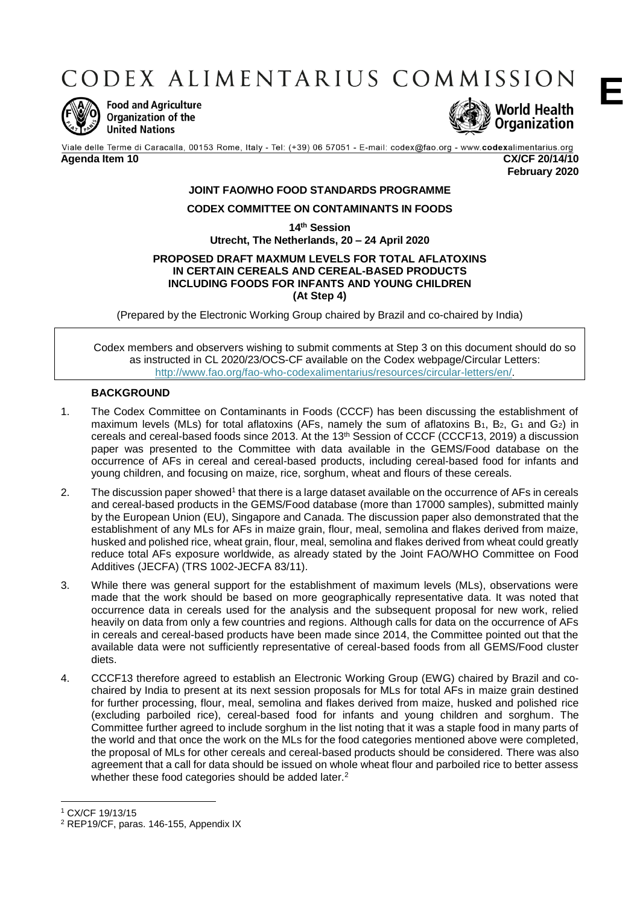CODEX ALIMENTARIUS COMMISSION



**Food and Agriculture** Organization of the **United Nations** 



Viale delle Terme di Caracalla, 00153 Rome, Italy - Tel: (+39) 06 57051 - E-mail: codex@fao.org - www.codexalimentarius.org **Agenda Item 10 CX/CF 20/14/10**

**February 2020**

# **JOINT FAO/WHO FOOD STANDARDS PROGRAMME**

### **CODEX COMMITTEE ON CONTAMINANTS IN FOODS**

**14th Session**

**Utrecht, The Netherlands, 20 – 24 April 2020**

#### **PROPOSED DRAFT MAXMUM LEVELS FOR TOTAL AFLATOXINS IN CERTAIN CEREALS AND CEREAL-BASED PRODUCTS INCLUDING FOODS FOR INFANTS AND YOUNG CHILDREN (At Step 4)**

(Prepared by the Electronic Working Group chaired by Brazil and co-chaired by India)

Codex members and observers wishing to submit comments at Step 3 on this document should do so as instructed in CL 2020/23/OCS-CF available on the Codex webpage/Circular Letters: [http://www.fao.org/fao-who-codexalimentarius/resources/circular-letters/en/.](http://www.fao.org/fao-who-codexalimentarius/resources/circular-letters/en/)

### **BACKGROUND**

- 1. The Codex Committee on Contaminants in Foods (CCCF) has been discussing the establishment of maximum levels (MLs) for total aflatoxins (AFs, namely the sum of aflatoxins  $B_1$ ,  $B_2$ ,  $G_1$  and  $G_2$ ) in cereals and cereal-based foods since 2013. At the 13th Session of CCCF (CCCF13, 2019) a discussion paper was presented to the Committee with data available in the GEMS/Food database on the occurrence of AFs in cereal and cereal-based products, including cereal-based food for infants and young children, and focusing on maize, rice, sorghum, wheat and flours of these cereals.
- 2. The discussion paper showed<sup>1</sup> that there is a large dataset available on the occurrence of AFs in cereals and cereal-based products in the GEMS/Food database (more than 17000 samples), submitted mainly by the European Union (EU), Singapore and Canada. The discussion paper also demonstrated that the establishment of any MLs for AFs in maize grain, flour, meal, semolina and flakes derived from maize, husked and polished rice, wheat grain, flour, meal, semolina and flakes derived from wheat could greatly reduce total AFs exposure worldwide, as already stated by the Joint FAO/WHO Committee on Food Additives (JECFA) (TRS 1002-JECFA 83/11).
- 3. While there was general support for the establishment of maximum levels (MLs), observations were made that the work should be based on more geographically representative data. It was noted that occurrence data in cereals used for the analysis and the subsequent proposal for new work, relied heavily on data from only a few countries and regions. Although calls for data on the occurrence of AFs in cereals and cereal-based products have been made since 2014, the Committee pointed out that the available data were not sufficiently representative of cereal-based foods from all GEMS/Food cluster diets.
- 4. CCCF13 therefore agreed to establish an Electronic Working Group (EWG) chaired by Brazil and cochaired by India to present at its next session proposals for MLs for total AFs in maize grain destined for further processing, flour, meal, semolina and flakes derived from maize, husked and polished rice (excluding parboiled rice), cereal-based food for infants and young children and sorghum. The Committee further agreed to include sorghum in the list noting that it was a staple food in many parts of the world and that once the work on the MLs for the food categories mentioned above were completed, the proposal of MLs for other cereals and cereal-based products should be considered. There was also agreement that a call for data should be issued on whole wheat flour and parboiled rice to better assess whether these food categories should be added later.<sup>2</sup>

**<sup>.</sup>** <sup>1</sup> CX/CF 19/13/15

<sup>2</sup> REP19/CF, paras. 146-155, Appendix IX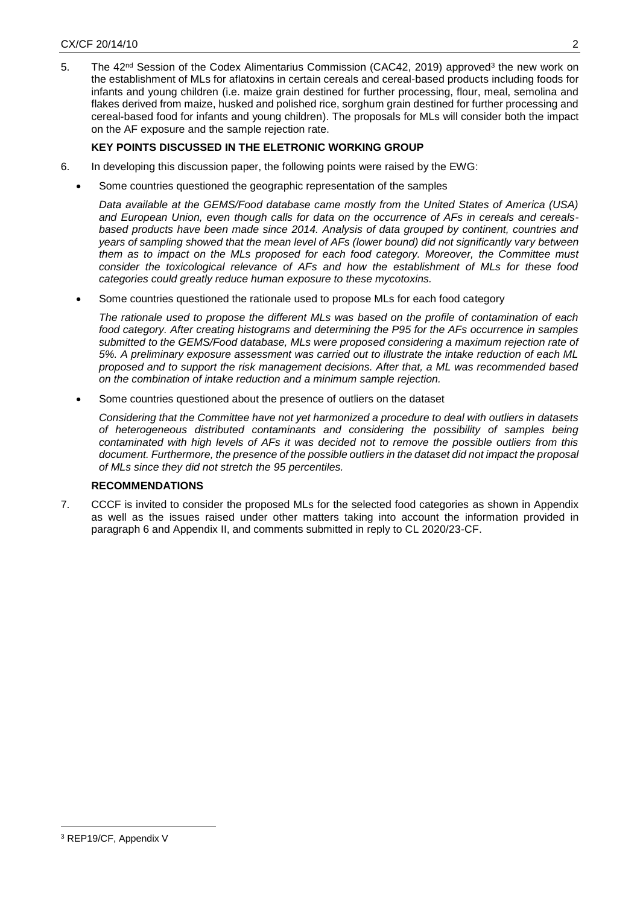5. The 42<sup>nd</sup> Session of the Codex Alimentarius Commission (CAC42, 2019) approved<sup>3</sup> the new work on the establishment of MLs for aflatoxins in certain cereals and cereal-based products including foods for infants and young children (i.e. maize grain destined for further processing, flour, meal, semolina and flakes derived from maize, husked and polished rice, sorghum grain destined for further processing and cereal-based food for infants and young children). The proposals for MLs will consider both the impact on the AF exposure and the sample rejection rate.

# **KEY POINTS DISCUSSED IN THE ELETRONIC WORKING GROUP**

- 6. In developing this discussion paper, the following points were raised by the EWG:
	- Some countries questioned the geographic representation of the samples

*Data available at the GEMS/Food database came mostly from the United States of America (USA) and European Union, even though calls for data on the occurrence of AFs in cereals and cerealsbased products have been made since 2014. Analysis of data grouped by continent, countries and years of sampling showed that the mean level of AFs (lower bound) did not significantly vary between them as to impact on the MLs proposed for each food category. Moreover, the Committee must consider the toxicological relevance of AFs and how the establishment of MLs for these food categories could greatly reduce human exposure to these mycotoxins.* 

Some countries questioned the rationale used to propose MLs for each food category

*The rationale used to propose the different MLs was based on the profile of contamination of each food category. After creating histograms and determining the P95 for the AFs occurrence in samples submitted to the GEMS/Food database, MLs were proposed considering a maximum rejection rate of 5%. A preliminary exposure assessment was carried out to illustrate the intake reduction of each ML proposed and to support the risk management decisions. After that, a ML was recommended based on the combination of intake reduction and a minimum sample rejection.* 

Some countries questioned about the presence of outliers on the dataset

*Considering that the Committee have not yet harmonized a procedure to deal with outliers in datasets of heterogeneous distributed contaminants and considering the possibility of samples being contaminated with high levels of AFs it was decided not to remove the possible outliers from this document. Furthermore, the presence of the possible outliers in the dataset did not impact the proposal of MLs since they did not stretch the 95 percentiles.*

# **RECOMMENDATIONS**

7. CCCF is invited to consider the proposed MLs for the selected food categories as shown in Appendix as well as the issues raised under other matters taking into account the information provided in paragraph 6 and Appendix II, and comments submitted in reply to CL 2020/23-CF.

 $\overline{a}$ 

<sup>3</sup> REP19/CF, Appendix V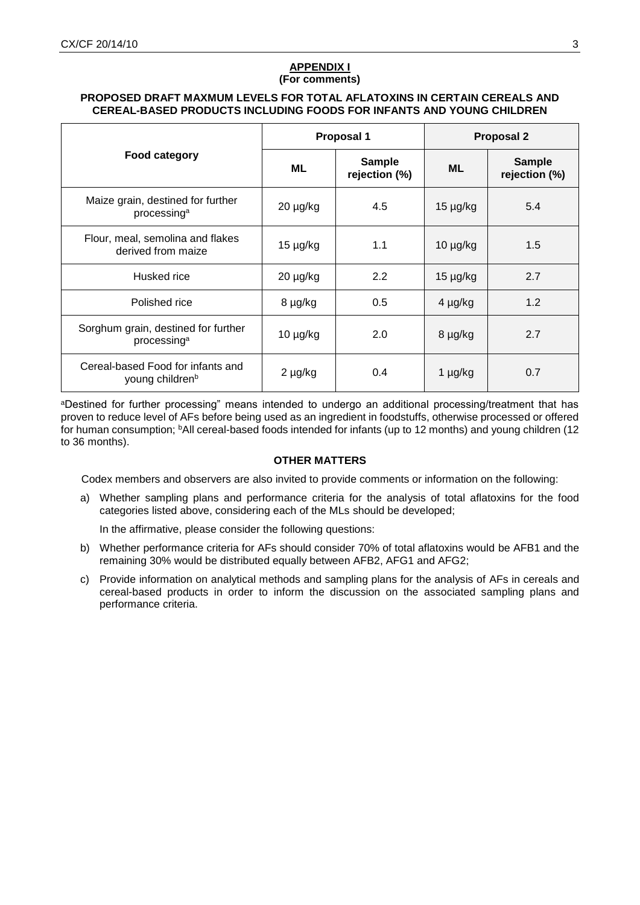## **APPENDIX I (For comments)**

## **PROPOSED DRAFT MAXMUM LEVELS FOR TOTAL AFLATOXINS IN CERTAIN CEREALS AND CEREAL-BASED PRODUCTS INCLUDING FOODS FOR INFANTS AND YOUNG CHILDREN**

|                                                                  |               | Proposal 1                     | <b>Proposal 2</b> |                                |
|------------------------------------------------------------------|---------------|--------------------------------|-------------------|--------------------------------|
| Food category                                                    | ML            | <b>Sample</b><br>rejection (%) | <b>ML</b>         | <b>Sample</b><br>rejection (%) |
| Maize grain, destined for further<br>processing <sup>a</sup>     | 20 µg/kg      | 4.5                            | $15 \mu g/kg$     | 5.4                            |
| Flour, meal, semolina and flakes<br>derived from maize           | $15 \mu g/kg$ | 1.1                            | $10 \mu g/kg$     | 1.5                            |
| Husked rice                                                      | $20 \mu g/kg$ | 2.2                            | $15 \mu g/kg$     | 2.7                            |
| Polished rice                                                    | 8 µg/kg       | 0.5                            | $4 \mu g/kg$      | 1.2                            |
| Sorghum grain, destined for further<br>processing <sup>a</sup>   | $10 \mu g/kg$ | 2.0                            | 8 µg/kg           | 2.7                            |
| Cereal-based Food for infants and<br>young children <sup>b</sup> | 2 µg/kg       | 0.4                            | $1 \mu g/kg$      | 0.7                            |

aDestined for further processing" means intended to undergo an additional processing/treatment that has proven to reduce level of AFs before being used as an ingredient in foodstuffs, otherwise processed or offered for human consumption; <sup>b</sup>All cereal-based foods intended for infants (up to 12 months) and young children (12 to 36 months).

# **OTHER MATTERS**

Codex members and observers are also invited to provide comments or information on the following:

a) Whether sampling plans and performance criteria for the analysis of total aflatoxins for the food categories listed above, considering each of the MLs should be developed;

In the affirmative, please consider the following questions:

- b) Whether performance criteria for AFs should consider 70% of total aflatoxins would be AFB1 and the remaining 30% would be distributed equally between AFB2, AFG1 and AFG2;
- c) Provide information on analytical methods and sampling plans for the analysis of AFs in cereals and cereal-based products in order to inform the discussion on the associated sampling plans and performance criteria.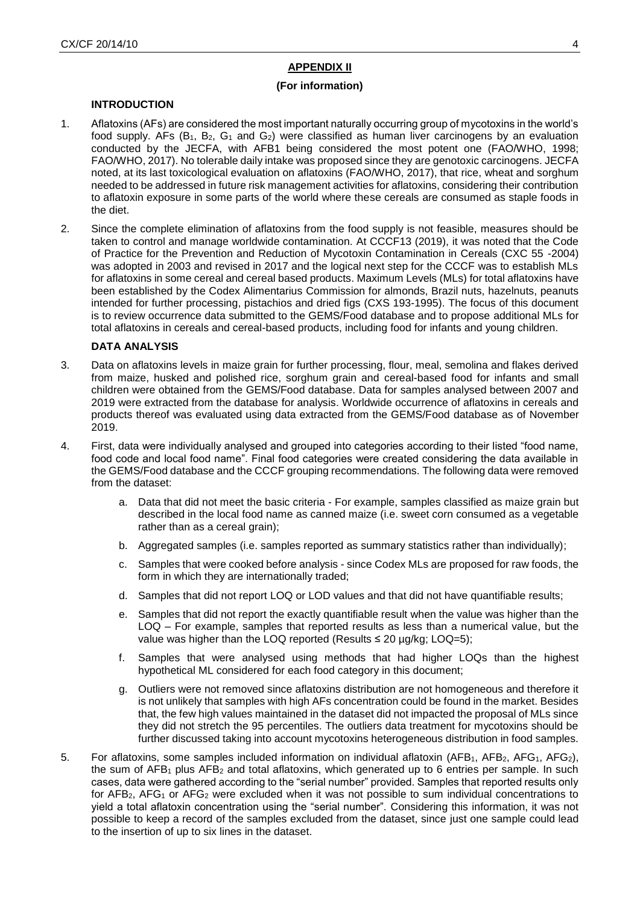# **APPENDIX II**

### **(For information)**

## **INTRODUCTION**

- 1. Aflatoxins (AFs) are considered the most important naturally occurring group of mycotoxins in the world's food supply. AFs  $(B_1, B_2, G_1, A_2)$  were classified as human liver carcinogens by an evaluation conducted by the JECFA, with AFB1 being considered the most potent one (FAO/WHO, 1998; FAO/WHO, 2017). No tolerable daily intake was proposed since they are genotoxic carcinogens. JECFA noted, at its last toxicological evaluation on aflatoxins (FAO/WHO, 2017), that rice, wheat and sorghum needed to be addressed in future risk management activities for aflatoxins, considering their contribution to aflatoxin exposure in some parts of the world where these cereals are consumed as staple foods in the diet.
- 2. Since the complete elimination of aflatoxins from the food supply is not feasible, measures should be taken to control and manage worldwide contamination. At CCCF13 (2019), it was noted that the Code of Practice for the Prevention and Reduction of Mycotoxin Contamination in Cereals (CXC 55 -2004) was adopted in 2003 and revised in 2017 and the logical next step for the CCCF was to establish MLs for aflatoxins in some cereal and cereal based products. Maximum Levels (MLs) for total aflatoxins have been established by the Codex Alimentarius Commission for almonds, Brazil nuts, hazelnuts, peanuts intended for further processing, pistachios and dried figs (CXS 193-1995). The focus of this document is to review occurrence data submitted to the GEMS/Food database and to propose additional MLs for total aflatoxins in cereals and cereal-based products, including food for infants and young children.

#### **DATA ANALYSIS**

- 3. Data on aflatoxins levels in maize grain for further processing, flour, meal, semolina and flakes derived from maize, husked and polished rice, sorghum grain and cereal-based food for infants and small children were obtained from the GEMS/Food database. Data for samples analysed between 2007 and 2019 were extracted from the database for analysis. Worldwide occurrence of aflatoxins in cereals and products thereof was evaluated using data extracted from the GEMS/Food database as of November 2019.
- 4. First, data were individually analysed and grouped into categories according to their listed "food name, food code and local food name". Final food categories were created considering the data available in the GEMS/Food database and the CCCF grouping recommendations. The following data were removed from the dataset:
	- a. Data that did not meet the basic criteria For example, samples classified as maize grain but described in the local food name as canned maize (i.e. sweet corn consumed as a vegetable rather than as a cereal grain):
	- b. Aggregated samples (i.e. samples reported as summary statistics rather than individually);
	- c. Samples that were cooked before analysis since Codex MLs are proposed for raw foods, the form in which they are internationally traded;
	- d. Samples that did not report LOQ or LOD values and that did not have quantifiable results;
	- e. Samples that did not report the exactly quantifiable result when the value was higher than the LOQ – For example, samples that reported results as less than a numerical value, but the value was higher than the LOQ reported (Results  $\leq$  20 µg/kg; LOQ=5);
	- f. Samples that were analysed using methods that had higher LOQs than the highest hypothetical ML considered for each food category in this document;
	- g. Outliers were not removed since aflatoxins distribution are not homogeneous and therefore it is not unlikely that samples with high AFs concentration could be found in the market. Besides that, the few high values maintained in the dataset did not impacted the proposal of MLs since they did not stretch the 95 percentiles. The outliers data treatment for mycotoxins should be further discussed taking into account mycotoxins heterogeneous distribution in food samples.
- 5. For aflatoxins, some samples included information on individual aflatoxin (AFB<sub>1</sub>, AFB<sub>2</sub>, AFG<sub>1</sub>, AFG<sub>2</sub>), the sum of  $AFB<sub>1</sub>$  plus  $AFB<sub>2</sub>$  and total aflatoxins, which generated up to 6 entries per sample. In such cases, data were gathered according to the "serial number" provided. Samples that reported results only for AFB<sub>2</sub>, AFG<sub>1</sub> or AFG<sub>2</sub> were excluded when it was not possible to sum individual concentrations to yield a total aflatoxin concentration using the "serial number". Considering this information, it was not possible to keep a record of the samples excluded from the dataset, since just one sample could lead to the insertion of up to six lines in the dataset.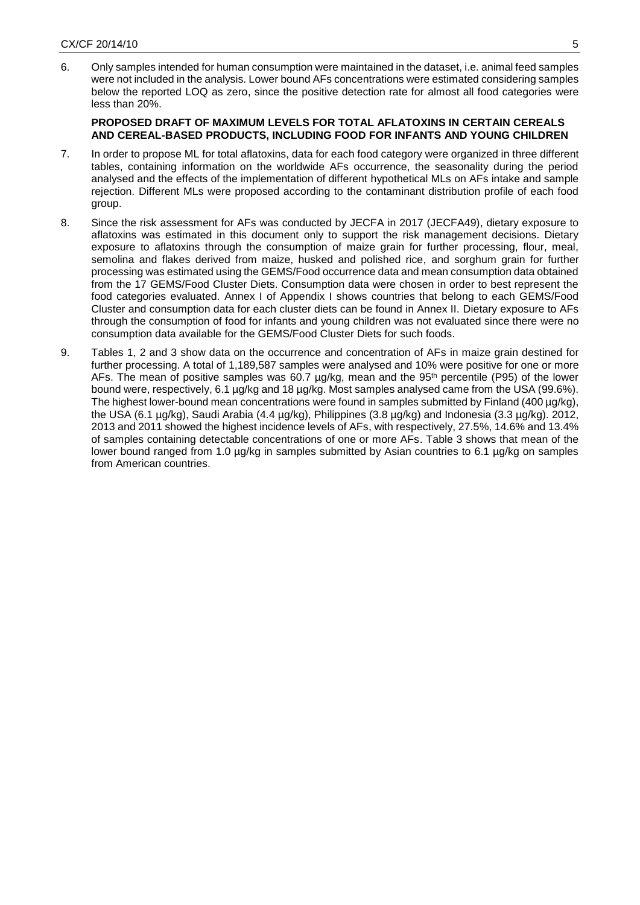6. Only samples intended for human consumption were maintained in the dataset, i.e. animal feed samples were not included in the analysis. Lower bound AFs concentrations were estimated considering samples below the reported LOQ as zero, since the positive detection rate for almost all food categories were less than 20%.

## **PROPOSED DRAFT OF MAXIMUM LEVELS FOR TOTAL AFLATOXINS IN CERTAIN CEREALS AND CEREAL-BASED PRODUCTS, INCLUDING FOOD FOR INFANTS AND YOUNG CHILDREN**

- 7. In order to propose ML for total aflatoxins, data for each food category were organized in three different tables, containing information on the worldwide AFs occurrence, the seasonality during the period analysed and the effects of the implementation of different hypothetical MLs on AFs intake and sample rejection. Different MLs were proposed according to the contaminant distribution profile of each food group.
- 8. Since the risk assessment for AFs was conducted by JECFA in 2017 (JECFA49), dietary exposure to aflatoxins was estimated in this document only to support the risk management decisions. Dietary exposure to aflatoxins through the consumption of maize grain for further processing, flour, meal, semolina and flakes derived from maize, husked and polished rice, and sorghum grain for further processing was estimated using the GEMS/Food occurrence data and mean consumption data obtained from the 17 GEMS/Food Cluster Diets. Consumption data were chosen in order to best represent the food categories evaluated. Annex I of Appendix I shows countries that belong to each GEMS/Food Cluster and consumption data for each cluster diets can be found in Annex II. Dietary exposure to AFs through the consumption of food for infants and young children was not evaluated since there were no consumption data available for the GEMS/Food Cluster Diets for such foods.
- 9. Tables 1, 2 and 3 show data on the occurrence and concentration of AFs in maize grain destined for further processing. A total of 1,189,587 samples were analysed and 10% were positive for one or more AFs. The mean of positive samples was 60.7  $\mu q/kg$ , mean and the 95<sup>th</sup> percentile (P95) of the lower bound were, respectively, 6.1 µg/kg and 18 µg/kg. Most samples analysed came from the USA (99.6%). The highest lower-bound mean concentrations were found in samples submitted by Finland (400 µg/kg), the USA (6.1 µg/kg), Saudi Arabia (4.4 µg/kg), Philippines (3.8 µg/kg) and Indonesia (3.3 µg/kg). 2012, 2013 and 2011 showed the highest incidence levels of AFs, with respectively, 27.5%, 14.6% and 13.4% of samples containing detectable concentrations of one or more AFs. Table 3 shows that mean of the lower bound ranged from 1.0 µg/kg in samples submitted by Asian countries to 6.1 µg/kg on samples from American countries.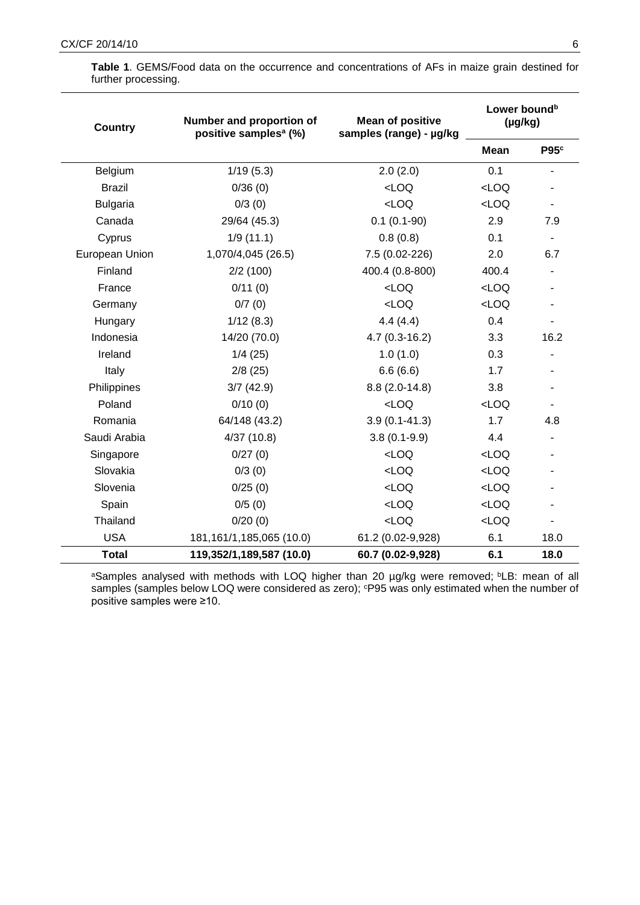| <b>Country</b>  | Number and proportion of<br>positive samples <sup>a</sup> (%) | <b>Mean of positive</b><br>samples (range) - µg/kg | Lower bound <sup>b</sup><br>$(\mu g/kg)$ |                  |
|-----------------|---------------------------------------------------------------|----------------------------------------------------|------------------------------------------|------------------|
|                 |                                                               |                                                    | <b>Mean</b>                              | P95 <sup>c</sup> |
| Belgium         | 1/19(5.3)                                                     | 2.0(2.0)                                           | 0.1                                      |                  |
| <b>Brazil</b>   | 0/36(0)                                                       | $<$ LOQ                                            | LOO                                      |                  |
| <b>Bulgaria</b> | 0/3(0)                                                        | $<$ LOQ                                            | LOO                                      |                  |
| Canada          | 29/64 (45.3)                                                  | $0.1(0.1-90)$                                      | 2.9                                      | 7.9              |
| Cyprus          | 1/9(11.1)                                                     | 0.8(0.8)                                           | 0.1                                      | $\blacksquare$   |
| European Union  | 1,070/4,045 (26.5)                                            | 7.5 (0.02-226)                                     | 2.0                                      | 6.7              |
| Finland         | 2/2(100)                                                      | 400.4 (0.8-800)                                    | 400.4                                    |                  |
| France          | 0/11(0)                                                       | $<$ LOQ                                            | LOO                                      |                  |
| Germany         | 0/7(0)                                                        | $<$ LOQ                                            | LOO                                      |                  |
| Hungary         | 1/12(8.3)                                                     | 4.4(4.4)                                           | 0.4                                      |                  |
| Indonesia       | 14/20 (70.0)                                                  | $4.7(0.3-16.2)$                                    | 3.3                                      | 16.2             |
| Ireland         | 1/4(25)                                                       | 1.0(1.0)                                           | 0.3                                      |                  |
| Italy           | 2/8(25)                                                       | 6.6(6.6)                                           | 1.7                                      |                  |
| Philippines     | 3/7(42.9)                                                     | $8.8(2.0-14.8)$                                    | 3.8                                      |                  |
| Poland          | 0/10(0)                                                       | LOO                                                | LOO                                      |                  |
| Romania         | 64/148 (43.2)                                                 | $3.9(0.1 - 41.3)$                                  | 1.7                                      | 4.8              |
| Saudi Arabia    | 4/37(10.8)                                                    | $3.8(0.1-9.9)$                                     | 4.4                                      |                  |
| Singapore       | 0/27(0)                                                       | $<$ LOQ                                            | LOO                                      |                  |
| Slovakia        | 0/3(0)                                                        | $<$ LOQ                                            | LOO                                      |                  |
| Slovenia        | 0/25(0)                                                       | LOO                                                | LOO                                      |                  |
| Spain           | 0/5(0)                                                        | $<$ LOQ                                            | LOO                                      |                  |
| Thailand        | 0/20(0)                                                       | $<$ LOQ                                            | LOO                                      |                  |
| <b>USA</b>      | 181, 161/1, 185, 065 (10.0)                                   | 61.2 (0.02-9,928)                                  | 6.1                                      | 18.0             |
| <b>Total</b>    | 119,352/1,189,587 (10.0)                                      | 60.7 (0.02-9,928)                                  | 6.1                                      | 18.0             |

**Table 1**. GEMS/Food data on the occurrence and concentrations of AFs in maize grain destined for further processing.

aSamples analysed with methods with LOQ higher than 20 µg/kg were removed; bLB: mean of all samples (samples below LOQ were considered as zero); cP95 was only estimated when the number of positive samples were ≥10.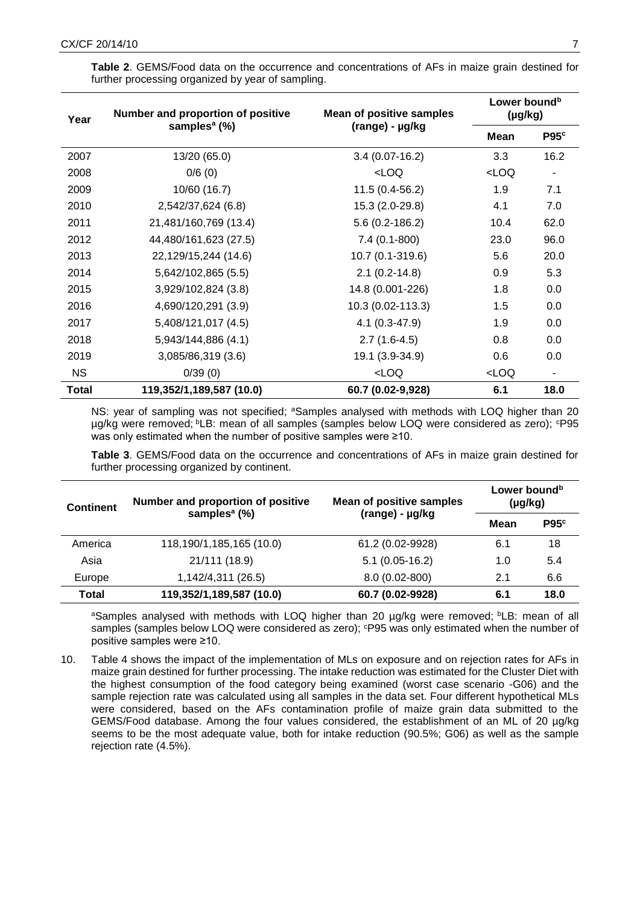| Year      | Number and proportion of positive | <b>Mean of positive samples</b>                                                   | Lower bound <sup>b</sup><br>$(\mu g/kg)$              |                          |
|-----------|-----------------------------------|-----------------------------------------------------------------------------------|-------------------------------------------------------|--------------------------|
|           | samples <sup>a</sup> (%)          | (range) - µg/kg                                                                   | <b>Mean</b>                                           | P95 <sup>c</sup>         |
| 2007      | 13/20 (65.0)                      | $3.4(0.07-16.2)$                                                                  | 3.3                                                   | 16.2                     |
| 2008      | 0/6(0)                            | <loq< td=""><td><loq< td=""><td><math>\overline{a}</math></td></loq<></td></loq<> | <loq< td=""><td><math>\overline{a}</math></td></loq<> | $\overline{a}$           |
| 2009      | 10/60 (16.7)                      | $11.5(0.4-56.2)$                                                                  | 1.9                                                   | 7.1                      |
| 2010      | 2,542/37,624 (6.8)                | 15.3 (2.0-29.8)                                                                   | 4.1                                                   | 7.0                      |
| 2011      | 21,481/160,769 (13.4)             | $5.6(0.2 - 186.2)$                                                                | 10.4                                                  | 62.0                     |
| 2012      | 44,480/161,623 (27.5)             | $7.4(0.1-800)$                                                                    | 23.0                                                  | 96.0                     |
| 2013      | 22,129/15,244 (14.6)              | 10.7 (0.1-319.6)                                                                  | 5.6                                                   | 20.0                     |
| 2014      | 5,642/102,865 (5.5)               | $2.1(0.2-14.8)$                                                                   | 0.9                                                   | 5.3                      |
| 2015      | 3,929/102,824 (3.8)               | 14.8 (0.001-226)                                                                  | 1.8                                                   | 0.0                      |
| 2016      | 4,690/120,291 (3.9)               | 10.3 (0.02-113.3)                                                                 | 1.5                                                   | 0.0                      |
| 2017      | 5,408/121,017 (4.5)               | $4.1(0.3-47.9)$                                                                   | 1.9                                                   | 0.0                      |
| 2018      | 5,943/144,886 (4.1)               | $2.7(1.6-4.5)$                                                                    | 0.8                                                   | 0.0                      |
| 2019      | 3,085/86,319 (3.6)                | 19.1 (3.9-34.9)                                                                   | 0.6                                                   | 0.0                      |
| <b>NS</b> | 0/39(0)                           | $<$ LOQ                                                                           | LOO                                                   | $\overline{\phantom{a}}$ |
| Total     | 119,352/1,189,587 (10.0)          | 60.7 (0.02-9,928)                                                                 | 6.1                                                   | 18.0                     |

**Table 2**. GEMS/Food data on the occurrence and concentrations of AFs in maize grain destined for further processing organized by year of sampling.

NS: year of sampling was not specified; <sup>a</sup>Samples analysed with methods with LOQ higher than 20 µg/kg were removed; <sup>b</sup>LB: mean of all samples (samples below LOQ were considered as zero); <sup>c</sup>P95 was only estimated when the number of positive samples were ≥10.

**Table 3**. GEMS/Food data on the occurrence and concentrations of AFs in maize grain destined for further processing organized by continent.

| <b>Continent</b> | Number and proportion of positive | <b>Mean of positive samples</b> | Lower bound <sup>b</sup><br>$(\mu g/kg)$ |      |
|------------------|-----------------------------------|---------------------------------|------------------------------------------|------|
|                  | samples <sup>a</sup> $(\%)$       | (range) - µg/kg<br>Mean         | P95c                                     |      |
| America          | 118,190/1,185,165 (10.0)          | 61.2 (0.02-9928)                | 6.1                                      | 18   |
| Asia             | 21/111 (18.9)                     | $5.1(0.05-16.2)$                | 1.0                                      | 5.4  |
| Europe           | 1,142/4,311 (26.5)                | 8.0 (0.02-800)                  | 2.1                                      | 6.6  |
| <b>Total</b>     | 119,352/1,189,587 (10.0)          | 60.7 (0.02-9928)                | 6.1                                      | 18.0 |

aSamples analysed with methods with LOQ higher than 20 µg/kg were removed; bLB: mean of all samples (samples below LOQ were considered as zero); <sup>c</sup>P95 was only estimated when the number of positive samples were ≥10.

10. Table 4 shows the impact of the implementation of MLs on exposure and on rejection rates for AFs in maize grain destined for further processing. The intake reduction was estimated for the Cluster Diet with the highest consumption of the food category being examined (worst case scenario -G06) and the sample rejection rate was calculated using all samples in the data set. Four different hypothetical MLs were considered, based on the AFs contamination profile of maize grain data submitted to the GEMS/Food database. Among the four values considered, the establishment of an ML of 20 µg/kg seems to be the most adequate value, both for intake reduction (90.5%; G06) as well as the sample rejection rate (4.5%).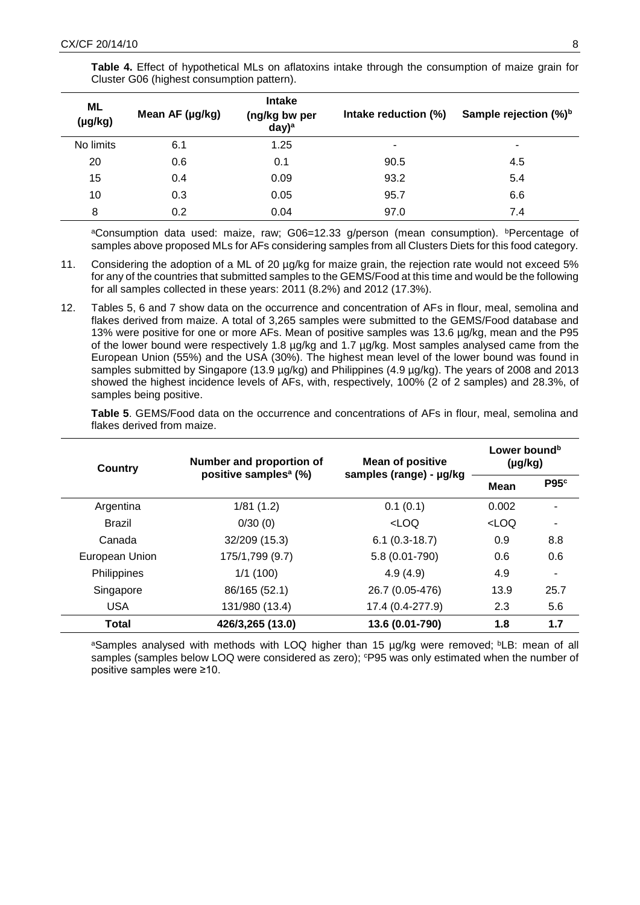| Table 4. Effect of hypothetical MLs on aflatoxins intake through the consumption of maize grain for |  |  |  |
|-----------------------------------------------------------------------------------------------------|--|--|--|
| Cluster G06 (highest consumption pattern).                                                          |  |  |  |

| <b>ML</b><br>(µg/kg) | Mean AF (µg/kg) | <b>Intake</b><br>(ng/kg bw per<br>$day)$ <sup>a</sup> | Intake reduction (%) | Sample rejection (%) <sup>b</sup> |
|----------------------|-----------------|-------------------------------------------------------|----------------------|-----------------------------------|
| No limits            | 6.1             | 1.25                                                  | ۰                    | ۰                                 |
| 20                   | 0.6             | 0.1                                                   | 90.5                 | 4.5                               |
| 15                   | 0.4             | 0.09                                                  | 93.2                 | 5.4                               |
| 10                   | 0.3             | 0.05                                                  | 95.7                 | 6.6                               |
| 8                    | 0.2             | 0.04                                                  | 97.0                 | 7.4                               |

aConsumption data used: maize, raw;  $G06=12.33$  g/person (mean consumption). **Percentage** of samples above proposed MLs for AFs considering samples from all Clusters Diets for this food category.

- 11. Considering the adoption of a ML of 20 µg/kg for maize grain, the rejection rate would not exceed 5% for any of the countries that submitted samples to the GEMS/Food at this time and would be the following for all samples collected in these years: 2011 (8.2%) and 2012 (17.3%).
- 12. Tables 5, 6 and 7 show data on the occurrence and concentration of AFs in flour, meal, semolina and flakes derived from maize. A total of 3,265 samples were submitted to the GEMS/Food database and 13% were positive for one or more AFs. Mean of positive samples was 13.6 µg/kg, mean and the P95 of the lower bound were respectively 1.8 µg/kg and 1.7 µg/kg. Most samples analysed came from the European Union (55%) and the USA (30%). The highest mean level of the lower bound was found in samples submitted by Singapore (13.9 µg/kg) and Philippines (4.9 µg/kg). The years of 2008 and 2013 showed the highest incidence levels of AFs, with, respectively, 100% (2 of 2 samples) and 28.3%, of samples being positive.

**Table 5**. GEMS/Food data on the occurrence and concentrations of AFs in flour, meal, semolina and flakes derived from maize.

| Country        | Number and proportion of<br>positive samples <sup>a</sup> (%) | <b>Mean of positive</b> | Lower bound <sup>b</sup><br>$(\mu g/kg)$ |                  |
|----------------|---------------------------------------------------------------|-------------------------|------------------------------------------|------------------|
|                |                                                               | samples (range) - µg/kg | Mean                                     | P95 <sup>c</sup> |
| Argentina      | 1/81(1.2)                                                     | 0.1(0.1)                | 0.002                                    | ۰                |
| <b>Brazil</b>  | 0/30(0)                                                       | LOO                     | <loq< td=""><td></td></loq<>             |                  |
| Canada         | 32/209 (15.3)                                                 | $6.1(0.3-18.7)$         | 0.9                                      | 8.8              |
| European Union | 175/1,799 (9.7)                                               | 5.8 (0.01-790)          | 0.6                                      | 0.6              |
| Philippines    | 1/1(100)                                                      | 4.9(4.9)                | 4.9                                      | ۰                |
| Singapore      | 86/165 (52.1)                                                 | 26.7 (0.05-476)         | 13.9                                     | 25.7             |
| <b>USA</b>     | 131/980 (13.4)                                                | 17.4 (0.4-277.9)        | 2.3                                      | 5.6              |
| <b>Total</b>   | 426/3,265 (13.0)                                              | 13.6 (0.01-790)         | 1.8                                      | 1.7              |

aSamples analysed with methods with LOQ higher than 15 µg/kg were removed; <sup>b</sup>LB: mean of all samples (samples below LOQ were considered as zero);  $CP95$  was only estimated when the number of positive samples were ≥10.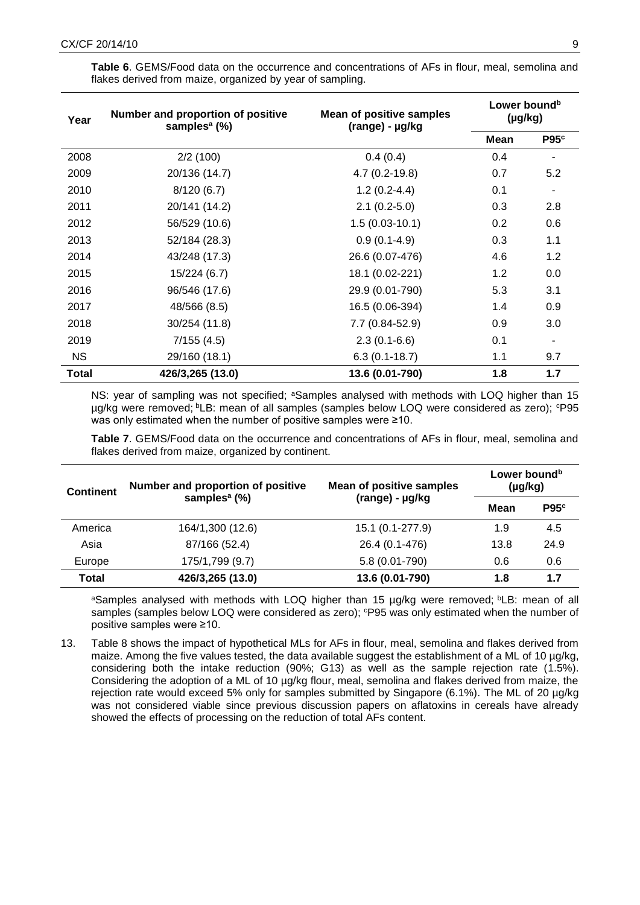| Year      | Number and proportion of positive<br>samples <sup>a</sup> (%) | <b>Mean of positive samples</b><br>(range) - µg/kg | Lower bound <sup>b</sup><br>$(\mu g/kg)$ |                          |
|-----------|---------------------------------------------------------------|----------------------------------------------------|------------------------------------------|--------------------------|
|           |                                                               |                                                    | Mean                                     | P95 <sup>c</sup>         |
| 2008      | 2/2(100)                                                      | 0.4(0.4)                                           | 0.4                                      | $\overline{\phantom{a}}$ |
| 2009      | 20/136 (14.7)                                                 | $4.7(0.2-19.8)$                                    | 0.7                                      | 5.2                      |
| 2010      | 8/120(6.7)                                                    | $1.2(0.2-4.4)$                                     | 0.1                                      |                          |
| 2011      | 20/141 (14.2)                                                 | $2.1(0.2-5.0)$                                     | 0.3                                      | 2.8                      |
| 2012      | 56/529 (10.6)                                                 | $1.5(0.03-10.1)$                                   | 0.2                                      | 0.6                      |
| 2013      | 52/184 (28.3)                                                 | $0.9(0.1-4.9)$                                     | 0.3                                      | 1.1                      |
| 2014      | 43/248 (17.3)                                                 | 26.6 (0.07-476)                                    | 4.6                                      | 1.2                      |
| 2015      | 15/224 (6.7)                                                  | 18.1 (0.02-221)                                    | 1.2                                      | 0.0                      |
| 2016      | 96/546 (17.6)                                                 | 29.9 (0.01-790)                                    | 5.3                                      | 3.1                      |
| 2017      | 48/566 (8.5)                                                  | 16.5 (0.06-394)                                    | 1.4                                      | 0.9                      |
| 2018      | 30/254 (11.8)                                                 | 7.7 (0.84-52.9)                                    | 0.9                                      | 3.0                      |
| 2019      | 7/155(4.5)                                                    | $2.3(0.1-6.6)$                                     | 0.1                                      | $\overline{a}$           |
| <b>NS</b> | 29/160 (18.1)                                                 | $6.3(0.1-18.7)$                                    | 1.1                                      | 9.7                      |
| Total     | 426/3,265 (13.0)                                              | 13.6 (0.01-790)                                    | 1.8                                      | 1.7                      |

**Table 6**. GEMS/Food data on the occurrence and concentrations of AFs in flour, meal, semolina and flakes derived from maize, organized by year of sampling.

NS; year of sampling was not specified; <sup>a</sup>Samples analysed with methods with LOQ higher than 15 µg/kg were removed; <sup>b</sup>LB: mean of all samples (samples below LOQ were considered as zero); <sup>c</sup>P95 was only estimated when the number of positive samples were ≥10.

**Table 7**. GEMS/Food data on the occurrence and concentrations of AFs in flour, meal, semolina and flakes derived from maize, organized by continent.

| <b>Continent</b> | Number and proportion of positive | <b>Mean of positive samples</b> | Lower bound <sup>b</sup><br>$(\mu g/kg)$ |                  |
|------------------|-----------------------------------|---------------------------------|------------------------------------------|------------------|
|                  | samples <sup>a</sup> $(\%)$       | (range) - µg/kg                 | Mean                                     | P95 <sup>c</sup> |
| America          | 164/1,300 (12.6)                  | 15.1 (0.1-277.9)                | 1.9                                      | 4.5              |
| Asia             | 87/166 (52.4)                     | 26.4 (0.1-476)                  | 13.8                                     | 24.9             |
| Europe           | 175/1,799 (9.7)                   | 5.8 (0.01-790)                  | 0.6                                      | 0.6              |
| <b>Total</b>     | 426/3,265 (13.0)                  | 13.6 (0.01-790)                 | 1.8                                      | 1.7              |

aSamples analysed with methods with LOQ higher than 15 µg/kg were removed; bLB: mean of all samples (samples below LOQ were considered as zero);  $P95$  was only estimated when the number of positive samples were ≥10.

13. Table 8 shows the impact of hypothetical MLs for AFs in flour, meal, semolina and flakes derived from maize. Among the five values tested, the data available suggest the establishment of a ML of 10 µg/kg, considering both the intake reduction (90%; G13) as well as the sample rejection rate (1.5%). Considering the adoption of a ML of 10 µg/kg flour, meal, semolina and flakes derived from maize, the rejection rate would exceed 5% only for samples submitted by Singapore (6.1%). The ML of 20 µg/kg was not considered viable since previous discussion papers on aflatoxins in cereals have already showed the effects of processing on the reduction of total AFs content.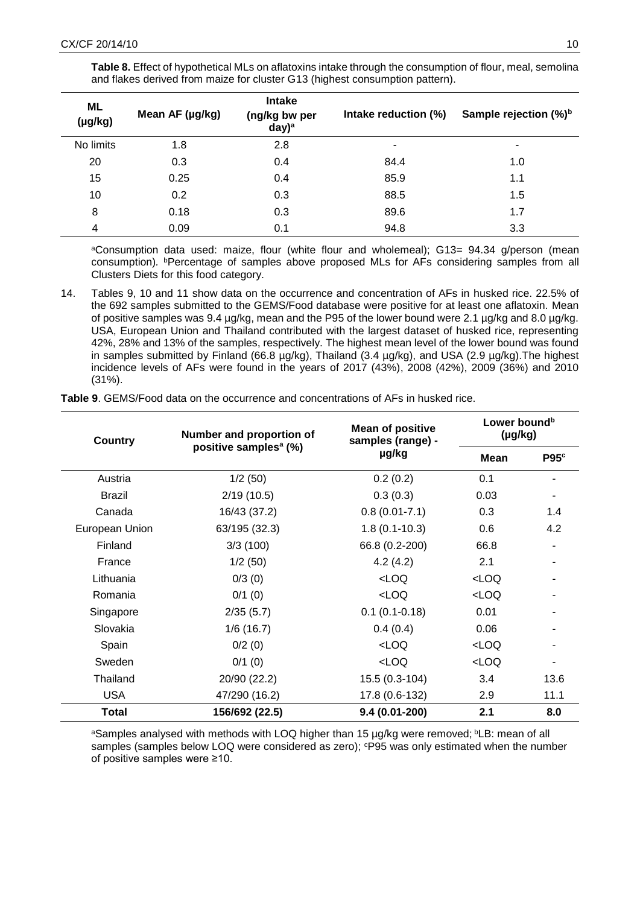| ML<br>$(\mu g/kg)$ | Mean AF (µg/kg) | <b>Intake</b><br>(ng/kg bw per<br>day) <sup>a</sup> | Intake reduction (%) | Sample rejection (%) <sup>b</sup> |
|--------------------|-----------------|-----------------------------------------------------|----------------------|-----------------------------------|
| No limits          | 1.8             | 2.8                                                 | ٠                    | ۰                                 |
| 20                 | 0.3             | 0.4                                                 | 84.4                 | 1.0                               |
| 15                 | 0.25            | 0.4                                                 | 85.9                 | 1.1                               |
| 10                 | 0.2             | 0.3                                                 | 88.5                 | 1.5                               |
| 8                  | 0.18            | 0.3                                                 | 89.6                 | 1.7                               |
| 4                  | 0.09            | 0.1                                                 | 94.8                 | 3.3                               |

**Table 8.** Effect of hypothetical MLs on aflatoxins intake through the consumption of flour, meal, semolina and flakes derived from maize for cluster G13 (highest consumption pattern).

<sup>a</sup>Consumption data used: maize, flour (white flour and wholemeal); G13= 94.34 g/person (mean consumption). <sup>b</sup>Percentage of samples above proposed MLs for AFs considering samples from all Clusters Diets for this food category.

14. Tables 9, 10 and 11 show data on the occurrence and concentration of AFs in husked rice. 22.5% of the 692 samples submitted to the GEMS/Food database were positive for at least one aflatoxin. Mean of positive samples was 9.4 µg/kg, mean and the P95 of the lower bound were 2.1 µg/kg and 8.0 µg/kg. USA, European Union and Thailand contributed with the largest dataset of husked rice, representing 42%, 28% and 13% of the samples, respectively. The highest mean level of the lower bound was found in samples submitted by Finland (66.8 µg/kg), Thailand (3.4 µg/kg), and USA (2.9 µg/kg). The highest incidence levels of AFs were found in the years of 2017 (43%), 2008 (42%), 2009 (36%) and 2010 (31%).

| <b>Country</b> | Number and proportion of          | <b>Mean of positive</b><br>samples (range) - | Lower bound <sup>b</sup><br>$(\mu g/kg)$ |                  |
|----------------|-----------------------------------|----------------------------------------------|------------------------------------------|------------------|
|                | positive samples <sup>a</sup> (%) | µg/kg                                        | Mean                                     | P95 <sup>c</sup> |
| Austria        | 1/2(50)                           | 0.2(0.2)                                     | 0.1                                      |                  |
| <b>Brazil</b>  | 2/19(10.5)                        | 0.3(0.3)                                     | 0.03                                     |                  |
| Canada         | 16/43 (37.2)                      | $0.8(0.01 - 7.1)$                            | 0.3                                      | 1.4              |
| European Union | 63/195 (32.3)                     | $1.8(0.1-10.3)$                              | 0.6                                      | 4.2              |
| Finland        | 3/3(100)                          | 66.8 (0.2-200)                               | 66.8                                     |                  |
| France         | 1/2(50)                           | 4.2(4.2)                                     | 2.1                                      |                  |
| Lithuania      | 0/3(0)                            | LOO                                          | $<$ LOQ                                  |                  |
| Romania        | 0/1(0)                            | LOO                                          | <loq< td=""><td></td></loq<>             |                  |
| Singapore      | 2/35(5.7)                         | $0.1(0.1-0.18)$                              | 0.01                                     |                  |
| Slovakia       | 1/6(16.7)                         | 0.4(0.4)                                     | 0.06                                     |                  |
| Spain          | 0/2(0)                            | LOO                                          | $<$ LOQ                                  |                  |
| Sweden         | $0/1$ (0)                         | LOO                                          | $<$ LOQ                                  |                  |
| Thailand       | 20/90 (22.2)                      | 15.5 (0.3-104)                               | 3.4                                      | 13.6             |
| <b>USA</b>     | 47/290 (16.2)                     | 17.8 (0.6-132)                               | 2.9                                      | 11.1             |
| <b>Total</b>   | 156/692 (22.5)                    | $9.4(0.01-200)$                              | 2.1                                      | 8.0              |

**Table 9**. GEMS/Food data on the occurrence and concentrations of AFs in husked rice.

aSamples analysed with methods with LOQ higher than 15 µg/kg were removed; bLB: mean of all samples (samples below LOQ were considered as zero); <sup>c</sup>P95 was only estimated when the number of positive samples were ≥10.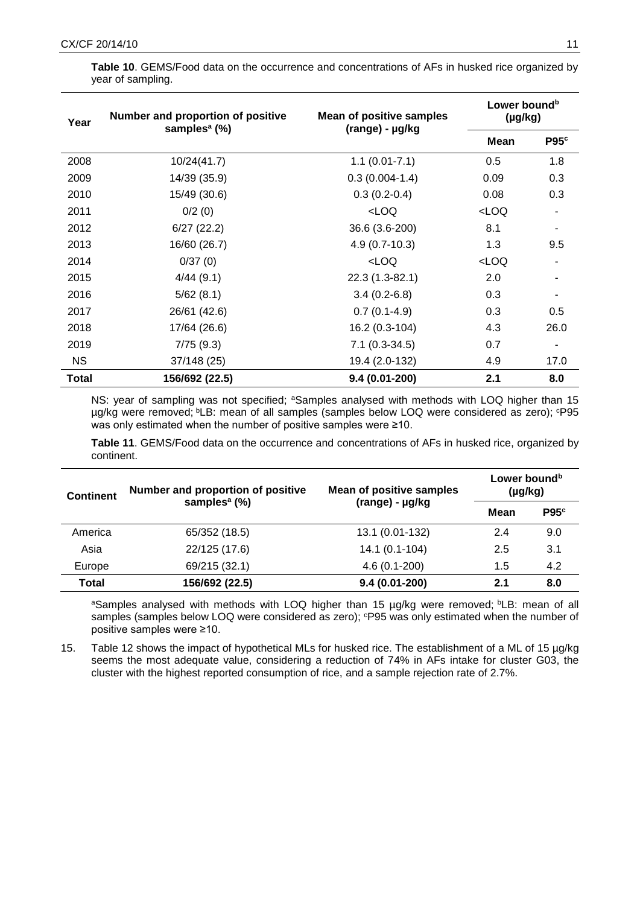| Year  | Number and proportion of positive<br>samples <sup>a</sup> (%) | <b>Mean of positive samples</b><br>(range) - µg/kg        | Lower bound <sup>b</sup><br>$(\mu g/kg)$ |                  |
|-------|---------------------------------------------------------------|-----------------------------------------------------------|------------------------------------------|------------------|
|       |                                                               |                                                           | <b>Mean</b>                              | P95 <sup>c</sup> |
| 2008  | 10/24(41.7)                                                   | $1.1(0.01 - 7.1)$                                         | 0.5                                      | 1.8              |
| 2009  | 14/39 (35.9)                                                  | $0.3(0.004-1.4)$                                          | 0.09                                     | 0.3              |
| 2010  | 15/49 (30.6)                                                  | $0.3(0.2-0.4)$                                            | 0.08                                     | 0.3              |
| 2011  | 0/2(0)                                                        | LOO                                                       | LOO                                      |                  |
| 2012  | 6/27(22.2)                                                    | 36.6 (3.6-200)                                            | 8.1                                      | ۰                |
| 2013  | 16/60 (26.7)                                                  | $4.9(0.7-10.3)$                                           | 1.3                                      | 9.5              |
| 2014  | 0/37(0)                                                       | <loq< td=""><td><math>&lt;</math>LOQ</td><td></td></loq<> | $<$ LOQ                                  |                  |
| 2015  | 4/44(9.1)                                                     | 22.3 (1.3-82.1)                                           | 2.0                                      |                  |
| 2016  | 5/62(8.1)                                                     | $3.4(0.2-6.8)$                                            | 0.3                                      |                  |
| 2017  | 26/61 (42.6)                                                  | $0.7(0.1-4.9)$                                            | 0.3                                      | 0.5              |
| 2018  | 17/64 (26.6)                                                  | 16.2 (0.3-104)                                            | 4.3                                      | 26.0             |
| 2019  | 7/75(9.3)                                                     | $7.1(0.3-34.5)$                                           | 0.7                                      |                  |
| NS.   | 37/148 (25)                                                   | 19.4 (2.0-132)                                            | 4.9                                      | 17.0             |
| Total | 156/692 (22.5)                                                | $9.4(0.01 - 200)$                                         | 2.1                                      | 8.0              |

**Table 10**. GEMS/Food data on the occurrence and concentrations of AFs in husked rice organized by year of sampling.

NS: year of sampling was not specified; <sup>a</sup>Samples analysed with methods with LOQ higher than 15 ug/kg were removed; <sup>b</sup>LB: mean of all samples (samples below LOQ were considered as zero); <sup>c</sup>P95 was only estimated when the number of positive samples were ≥10.

**Table 11**. GEMS/Food data on the occurrence and concentrations of AFs in husked rice, organized by continent.

| <b>Continent</b> | Number and proportion of positive | <b>Mean of positive samples</b> | Lower bound <sup>b</sup><br>$(\mu g/kg)$ |                  |
|------------------|-----------------------------------|---------------------------------|------------------------------------------|------------------|
|                  | samples <sup>a</sup> $(\%)$       | (range) - µg/kg                 | Mean                                     | P95 <sup>c</sup> |
| America          | 65/352 (18.5)                     | 13.1 (0.01-132)                 | 2.4                                      | 9.0              |
| Asia             | 22/125 (17.6)                     | $14.1(0.1-104)$                 | 2.5                                      | 3.1              |
| Europe           | 69/215 (32.1)                     | $4.6(0.1-200)$                  | 1.5                                      | 4.2              |
| <b>Total</b>     | 156/692 (22.5)                    | $9.4(0.01-200)$                 | 2.1                                      | 8.0              |

aSamples analysed with methods with LOQ higher than 15 µg/kg were removed; bLB: mean of all samples (samples below LOQ were considered as zero); <sup>c</sup>P95 was only estimated when the number of positive samples were ≥10.

15. Table 12 shows the impact of hypothetical MLs for husked rice. The establishment of a ML of 15 µg/kg seems the most adequate value, considering a reduction of 74% in AFs intake for cluster G03, the cluster with the highest reported consumption of rice, and a sample rejection rate of 2.7%.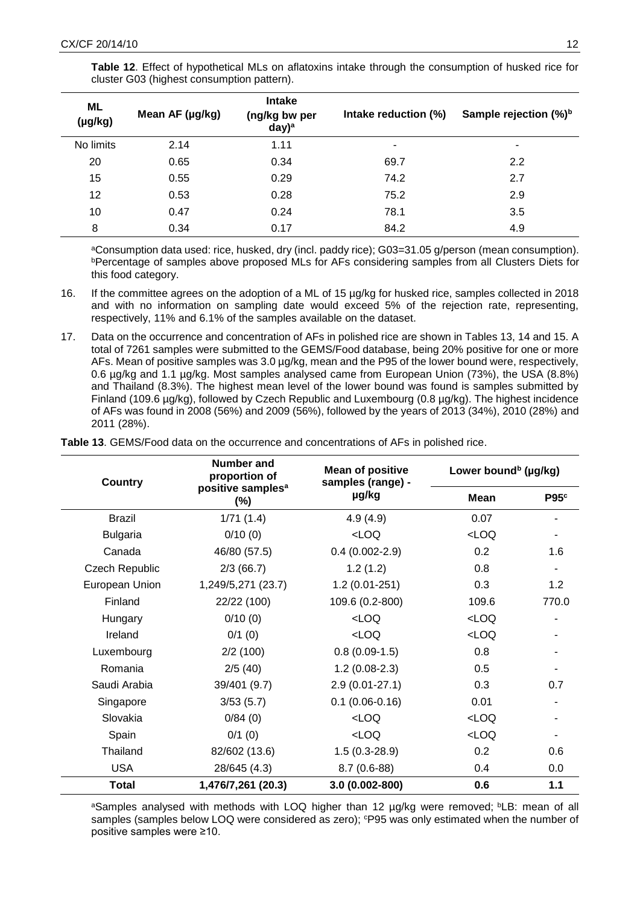| ML<br>$(\mu g/kg)$ | Mean AF (µg/kg) | <b>Intake</b><br>(ng/kg bw per<br>$day)^a$ | Intake reduction (%) | Sample rejection (%) <sup>b</sup> |
|--------------------|-----------------|--------------------------------------------|----------------------|-----------------------------------|
| No limits          | 2.14            | 1.11                                       |                      | ٠                                 |
| 20                 | 0.65            | 0.34                                       | 69.7                 | 2.2                               |
| 15                 | 0.55            | 0.29                                       | 74.2                 | 2.7                               |
| 12                 | 0.53            | 0.28                                       | 75.2                 | 2.9                               |
| 10                 | 0.47            | 0.24                                       | 78.1                 | 3.5                               |
| 8                  | 0.34            | 0.17                                       | 84.2                 | 4.9                               |

**Table 12**. Effect of hypothetical MLs on aflatoxins intake through the consumption of husked rice for cluster G03 (highest consumption pattern).

<sup>a</sup>Consumption data used: rice, husked, dry (incl. paddy rice); G03=31.05 g/person (mean consumption). *bPercentage of samples above proposed MLs for AFs considering samples from all Clusters Diets for* this food category.

- 16. If the committee agrees on the adoption of a ML of 15 µg/kg for husked rice, samples collected in 2018 and with no information on sampling date would exceed 5% of the rejection rate, representing, respectively, 11% and 6.1% of the samples available on the dataset.
- 17. Data on the occurrence and concentration of AFs in polished rice are shown in Tables 13, 14 and 15. A total of 7261 samples were submitted to the GEMS/Food database, being 20% positive for one or more AFs. Mean of positive samples was 3.0 µg/kg, mean and the P95 of the lower bound were, respectively, 0.6 µg/kg and 1.1 µg/kg. Most samples analysed came from European Union (73%), the USA (8.8%) and Thailand (8.3%). The highest mean level of the lower bound was found is samples submitted by Finland (109.6 µg/kg), followed by Czech Republic and Luxembourg (0.8 µg/kg). The highest incidence of AFs was found in 2008 (56%) and 2009 (56%), followed by the years of 2013 (34%), 2010 (28%) and 2011 (28%).

**Table 13**. GEMS/Food data on the occurrence and concentrations of AFs in polished rice.

| <b>Country</b>        | Number and<br>proportion of             | <b>Mean of positive</b><br>samples (range) - | Lower bound <sup>b</sup> (µg/kg) |                  |
|-----------------------|-----------------------------------------|----------------------------------------------|----------------------------------|------------------|
|                       | positive samples <sup>a</sup><br>$(\%)$ | µg/kg                                        | Mean                             | P95 <sup>c</sup> |
| <b>Brazil</b>         | 1/71(1.4)                               | 4.9(4.9)                                     | 0.07                             |                  |
| <b>Bulgaria</b>       | 0/10(0)                                 | <loq< td=""><td>LOO</td><td></td></loq<>     | LOO                              |                  |
| Canada                | 46/80 (57.5)                            | $0.4(0.002 - 2.9)$                           | 0.2                              | 1.6              |
| <b>Czech Republic</b> | 2/3(66.7)                               | 1.2(1.2)                                     | 0.8                              |                  |
| European Union        | 1,249/5,271 (23.7)                      | $1.2(0.01-251)$                              | 0.3                              | 1.2              |
| Finland               | 22/22 (100)                             | 109.6 (0.2-800)                              | 109.6                            | 770.0            |
| Hungary               | 0/10(0)                                 | LOO                                          | LOO                              |                  |
| Ireland               | 0/1(0)                                  | $<$ LOQ                                      | $<$ LOQ                          |                  |
| Luxembourg            | 2/2(100)                                | $0.8(0.09-1.5)$                              | 0.8                              |                  |
| Romania               | 2/5(40)                                 | $1.2(0.08-2.3)$                              | 0.5                              |                  |
| Saudi Arabia          | 39/401 (9.7)                            | $2.9(0.01-27.1)$                             | 0.3                              | 0.7              |
| Singapore             | 3/53(5.7)                               | $0.1(0.06 - 0.16)$                           | 0.01                             |                  |
| Slovakia              | 0/84(0)                                 | LOO                                          | LOO                              |                  |
| Spain                 | 0/1(0)                                  | LOO                                          | LOO                              |                  |
| Thailand              | 82/602 (13.6)                           | $1.5(0.3-28.9)$                              | 0.2                              | 0.6              |
| <b>USA</b>            | 28/645 (4.3)                            | $8.7(0.6-88)$                                | 0.4                              | 0.0              |
| <b>Total</b>          | 1,476/7,261 (20.3)                      | 3.0 (0.002-800)                              | 0.6                              | 1.1              |

aSamples analysed with methods with LOQ higher than 12 ug/kg were removed; <sup>b</sup>LB: mean of all samples (samples below LOQ were considered as zero);  $P95$  was only estimated when the number of positive samples were ≥10.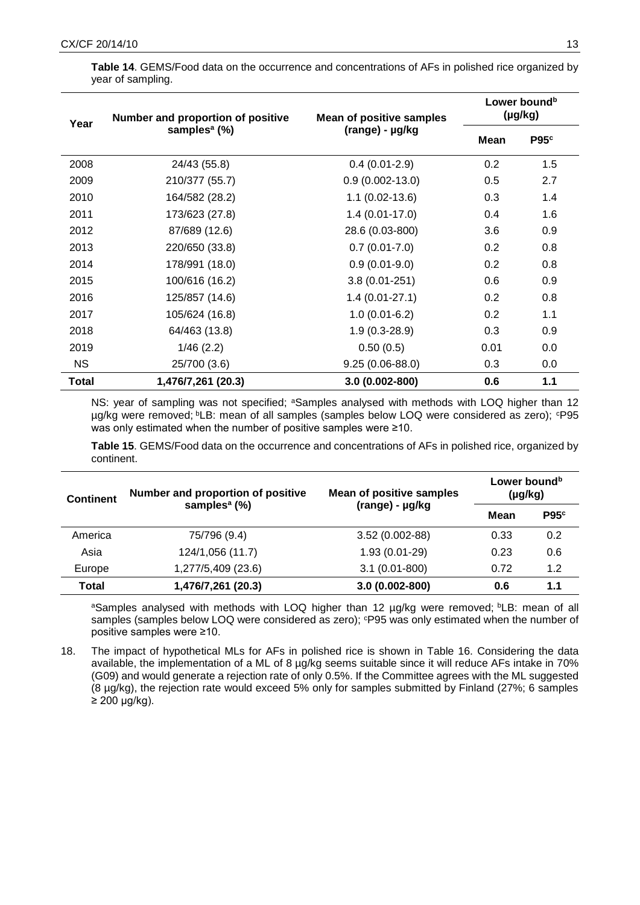| Year  | Number and proportion of positive | <b>Mean of positive samples</b> |      | Lower bound <sup>b</sup><br>(µg/kg) |
|-------|-----------------------------------|---------------------------------|------|-------------------------------------|
|       | samples <sup>a</sup> (%)          | (range) - µg/kg                 | Mean | P95c                                |
| 2008  | 24/43 (55.8)                      | $0.4(0.01-2.9)$                 | 0.2  | 1.5                                 |
| 2009  | 210/377 (55.7)                    | $0.9(0.002-13.0)$               | 0.5  | 2.7                                 |
| 2010  | 164/582 (28.2)                    | $1.1(0.02-13.6)$                | 0.3  | 1.4                                 |
| 2011  | 173/623 (27.8)                    | $1.4(0.01-17.0)$                | 0.4  | 1.6                                 |
| 2012  | 87/689 (12.6)                     | 28.6 (0.03-800)                 | 3.6  | 0.9                                 |
| 2013  | 220/650 (33.8)                    | $0.7(0.01 - 7.0)$               | 0.2  | 0.8                                 |
| 2014  | 178/991 (18.0)                    | $0.9(0.01-9.0)$                 | 0.2  | 0.8                                 |
| 2015  | 100/616 (16.2)                    | $3.8(0.01 - 251)$               | 0.6  | 0.9                                 |
| 2016  | 125/857 (14.6)                    | $1.4(0.01-27.1)$                | 0.2  | 0.8                                 |
| 2017  | 105/624 (16.8)                    | $1.0(0.01-6.2)$                 | 0.2  | 1.1                                 |
| 2018  | 64/463 (13.8)                     | $1.9(0.3-28.9)$                 | 0.3  | 0.9                                 |
| 2019  | 1/46(2.2)                         | 0.50(0.5)                       | 0.01 | 0.0                                 |
| NS.   | 25/700 (3.6)                      | $9.25(0.06-88.0)$               | 0.3  | 0.0                                 |
| Total | 1,476/7,261 (20.3)                | 3.0 (0.002-800)                 | 0.6  | 1.1                                 |

**Table 14**. GEMS/Food data on the occurrence and concentrations of AFs in polished rice organized by year of sampling.

NS: year of sampling was not specified; <sup>a</sup>Samples analysed with methods with LOQ higher than 12 µg/kg were removed; <sup>b</sup>LB: mean of all samples (samples below LOQ were considered as zero); <sup>c</sup>P95 was only estimated when the number of positive samples were ≥10.

**Table 15**. GEMS/Food data on the occurrence and concentrations of AFs in polished rice, organized by continent.

| <b>Continent</b> | Number and proportion of positive<br>samples <sup>a</sup> $(\%)$ | <b>Mean of positive samples</b> | Lower bound <sup>b</sup><br>$(\mu g/kg)$ |                  |
|------------------|------------------------------------------------------------------|---------------------------------|------------------------------------------|------------------|
|                  |                                                                  | (range) - µg/kg                 | Mean                                     | P95 <sup>c</sup> |
| America          | 75/796 (9.4)                                                     | $3.52(0.002-88)$                | 0.33                                     | 0.2              |
| Asia             | 124/1,056 (11.7)                                                 | $1.93(0.01-29)$                 | 0.23                                     | 0.6              |
| Europe           | 1,277/5,409 (23.6)                                               | $3.1(0.01 - 800)$               | 0.72                                     | 1.2              |
| <b>Total</b>     | 1,476/7,261 (20.3)                                               | 3.0 (0.002-800)                 | 0.6                                      | 1.1              |

aSamples analysed with methods with LOQ higher than 12 µg/kg were removed; bLB: mean of all samples (samples below LOQ were considered as zero); <sup>c</sup>P95 was only estimated when the number of positive samples were ≥10.

18. The impact of hypothetical MLs for AFs in polished rice is shown in Table 16. Considering the data available, the implementation of a ML of 8 µg/kg seems suitable since it will reduce AFs intake in 70% (G09) and would generate a rejection rate of only 0.5%. If the Committee agrees with the ML suggested (8 µg/kg), the rejection rate would exceed 5% only for samples submitted by Finland (27%; 6 samples  $\geq$  200 µg/kg).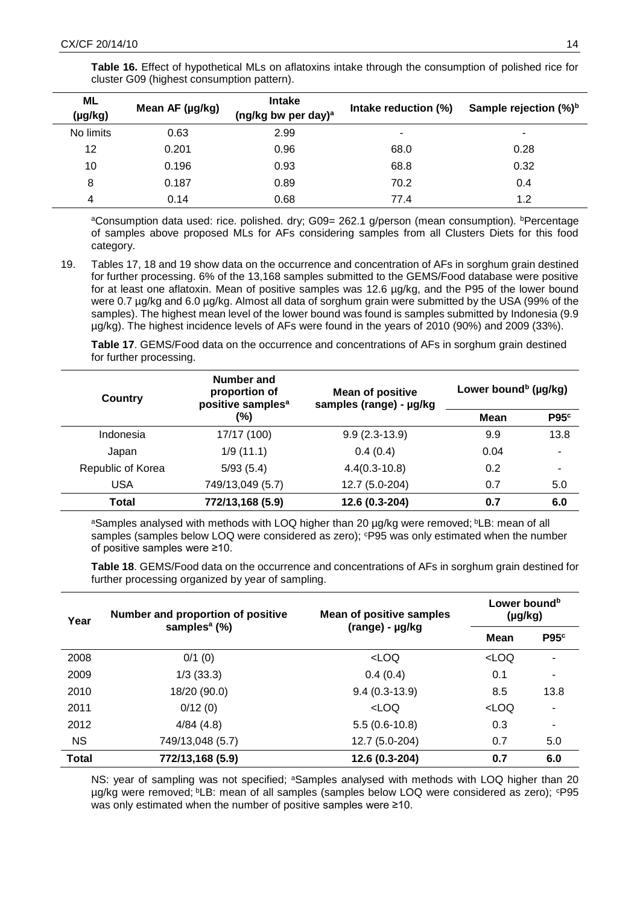**Table 16.** Effect of hypothetical MLs on aflatoxins intake through the consumption of polished rice for cluster G09 (highest consumption pattern).

| <b>ML</b><br>(µg/kg) | Mean AF (µg/kg) | <b>Intake</b><br>(ng/kg bw per day) <sup>a</sup> | Intake reduction (%) | Sample rejection (%) <sup>b</sup> |
|----------------------|-----------------|--------------------------------------------------|----------------------|-----------------------------------|
| No limits            | 0.63            | 2.99                                             |                      | ۰                                 |
| 12                   | 0.201           | 0.96                                             | 68.0                 | 0.28                              |
| 10                   | 0.196           | 0.93                                             | 68.8                 | 0.32                              |
| 8                    | 0.187           | 0.89                                             | 70.2                 | 0.4                               |
| 4                    | 0.14            | 0.68                                             | 77.4                 | 1.2                               |

<sup>a</sup>Consumption data used: rice. polished. dry; G09= 262.1 g/person (mean consumption). <sup>b</sup>Percentage of samples above proposed MLs for AFs considering samples from all Clusters Diets for this food category.

19. Tables 17, 18 and 19 show data on the occurrence and concentration of AFs in sorghum grain destined for further processing. 6% of the 13,168 samples submitted to the GEMS/Food database were positive for at least one aflatoxin. Mean of positive samples was 12.6 ug/kg, and the P95 of the lower bound were 0.7 ug/kg and 6.0 ug/kg. Almost all data of sorghum grain were submitted by the USA (99% of the samples). The highest mean level of the lower bound was found is samples submitted by Indonesia (9.9 µg/kg). The highest incidence levels of AFs were found in the years of 2010 (90%) and 2009 (33%).

**Table 17**. GEMS/Food data on the occurrence and concentrations of AFs in sorghum grain destined for further processing.

| Country           | Number and<br>proportion of<br>positive samples <sup>a</sup> | <b>Mean of positive</b><br>samples (range) - µg/kg | Lower bound <sup>b</sup> (µg/kg) |                  |
|-------------------|--------------------------------------------------------------|----------------------------------------------------|----------------------------------|------------------|
|                   | (%)                                                          |                                                    | Mean                             | P95 <sup>c</sup> |
| Indonesia         | 17/17 (100)                                                  | $9.9(2.3-13.9)$                                    | 9.9                              | 13.8             |
| Japan             | 1/9(11.1)                                                    | 0.4(0.4)                                           | 0.04                             |                  |
| Republic of Korea | 5/93(5.4)                                                    | $4.4(0.3-10.8)$                                    | 0.2                              |                  |
| <b>USA</b>        | 749/13,049 (5.7)                                             | 12.7 (5.0-204)                                     | 0.7                              | 5.0              |
| Total             | 772/13,168 (5.9)                                             | 12.6 (0.3-204)                                     | 0.7                              | 6.0              |

aSamples analysed with methods with LOQ higher than 20 µg/kg were removed; bLB: mean of all samples (samples below LOQ were considered as zero);  $P95$  was only estimated when the number of positive samples were ≥10.

**Table 18**. GEMS/Food data on the occurrence and concentrations of AFs in sorghum grain destined for further processing organized by year of sampling.

| Year         | Number and proportion of positive | <b>Mean of positive samples</b>       | Lower bound <sup>b</sup><br>(µg/kg)<br>P95 <sup>c</sup><br>Mean<br><loq<br>۰<br/>0.1<br/>8.5<br/>13.8<br/><loq<br>0.3<br/>۰<br/>0.7<br/>5.0<br/>0.7</loq<br></loq<br> |     |
|--------------|-----------------------------------|---------------------------------------|-----------------------------------------------------------------------------------------------------------------------------------------------------------------------|-----|
|              | samples <sup>a</sup> $(\%)$       | (range) - µg/kg                       |                                                                                                                                                                       |     |
| 2008         | $0/1$ (0)                         | <loq< td=""><td></td><td></td></loq<> |                                                                                                                                                                       |     |
| 2009         | 1/3(33.3)                         | 0.4(0.4)                              |                                                                                                                                                                       |     |
| 2010         | 18/20 (90.0)                      | $9.4(0.3-13.9)$                       |                                                                                                                                                                       |     |
| 2011         | 0/12(0)                           | <loq< td=""><td></td><td></td></loq<> |                                                                                                                                                                       |     |
| 2012         | 4/84(4.8)                         | $5.5(0.6-10.8)$                       |                                                                                                                                                                       |     |
| <b>NS</b>    | 749/13,048 (5.7)                  | 12.7 (5.0-204)                        |                                                                                                                                                                       |     |
| <b>Total</b> | 772/13,168 (5.9)                  | 12.6 (0.3-204)                        |                                                                                                                                                                       | 6.0 |

NS: year of sampling was not specified; <sup>a</sup>Samples analysed with methods with LOQ higher than 20 µg/kg were removed; <sup>b</sup>LB: mean of all samples (samples below LOQ were considered as zero); <sup>c</sup>P95 was only estimated when the number of positive samples were ≥10.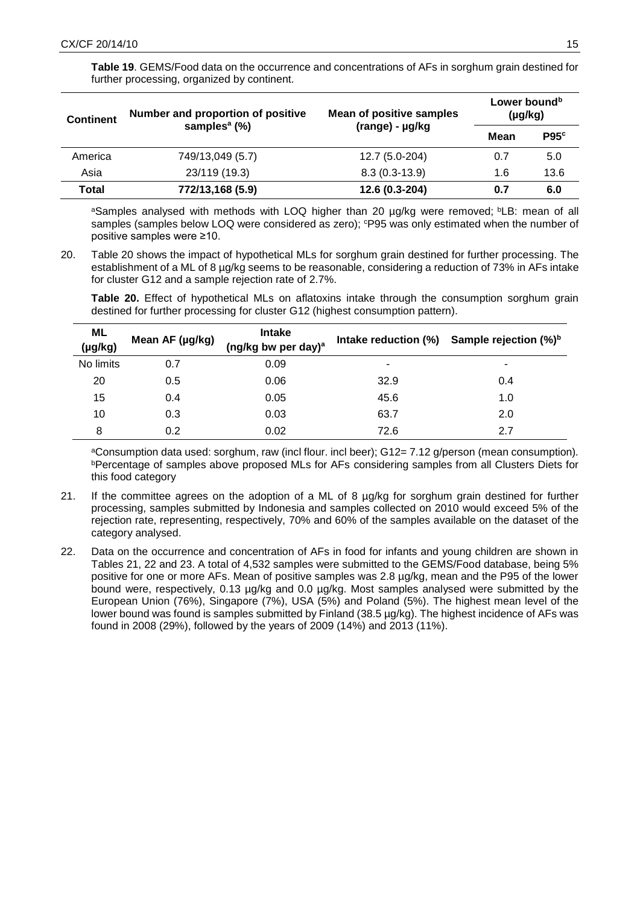**Table 19**. GEMS/Food data on the occurrence and concentrations of AFs in sorghum grain destined for further processing, organized by continent.

| <b>Continent</b> | Number and proportion of positive<br>samples <sup>a</sup> $(\%)$ | <b>Mean of positive samples</b> | Lower bound <sup>b</sup><br>$(\mu g/kg)$ |      |  |
|------------------|------------------------------------------------------------------|---------------------------------|------------------------------------------|------|--|
|                  |                                                                  | (range) - µg/kg                 | Mean                                     | P95c |  |
| America          | 749/13,049 (5.7)                                                 | 12.7 (5.0-204)                  | 0.7                                      | 5.0  |  |
| Asia             | 23/119 (19.3)                                                    | $8.3(0.3-13.9)$                 | 1.6                                      | 13.6 |  |
| Total            | 772/13,168 (5.9)                                                 | 12.6 (0.3-204)                  | 0.7                                      | 6.0  |  |

aSamples analysed with methods with LOQ higher than 20 µg/kg were removed; bLB: mean of all samples (samples below LOQ were considered as zero); <sup>c</sup>P95 was only estimated when the number of positive samples were ≥10.

20. Table 20 shows the impact of hypothetical MLs for sorghum grain destined for further processing. The establishment of a ML of 8 µg/kg seems to be reasonable, considering a reduction of 73% in AFs intake for cluster G12 and a sample rejection rate of 2.7%.

**Table 20.** Effect of hypothetical MLs on aflatoxins intake through the consumption sorghum grain destined for further processing for cluster G12 (highest consumption pattern).

| ML<br>$(\mu g/kg)$ | Mean AF (µg/kg) | <b>Intake</b><br>(ng/kg bw per day) <sup>a</sup> |      | Intake reduction $(\%)$ Sample rejection $(\%)^b$ |
|--------------------|-----------------|--------------------------------------------------|------|---------------------------------------------------|
| No limits          | 0.7             | 0.09                                             | ٠    | ۰                                                 |
| 20                 | 0.5             | 0.06                                             | 32.9 | 0.4                                               |
| 15                 | 0.4             | 0.05                                             | 45.6 | 1.0                                               |
| 10                 | 0.3             | 0.03                                             | 63.7 | 2.0                                               |
| 8                  | 0.2             | 0.02                                             | 72.6 | 2.7                                               |

<sup>a</sup>Consumption data used: sorghum, raw (incl flour. incl beer); G12= 7.12 g/person (mean consumption)*. bPercentage of samples above proposed MLs for AFs considering samples from all Clusters Diets for* this food category

- 21. If the committee agrees on the adoption of a ML of 8 µg/kg for sorghum grain destined for further processing, samples submitted by Indonesia and samples collected on 2010 would exceed 5% of the rejection rate, representing, respectively, 70% and 60% of the samples available on the dataset of the category analysed.
- 22. Data on the occurrence and concentration of AFs in food for infants and young children are shown in Tables 21, 22 and 23. A total of 4,532 samples were submitted to the GEMS/Food database, being 5% positive for one or more AFs. Mean of positive samples was 2.8 µg/kg, mean and the P95 of the lower bound were, respectively, 0.13 µg/kg and 0.0 µg/kg. Most samples analysed were submitted by the European Union (76%), Singapore (7%), USA (5%) and Poland (5%). The highest mean level of the lower bound was found is samples submitted by Finland (38.5 µg/kg). The highest incidence of AFs was found in 2008 (29%), followed by the years of 2009 (14%) and 2013 (11%).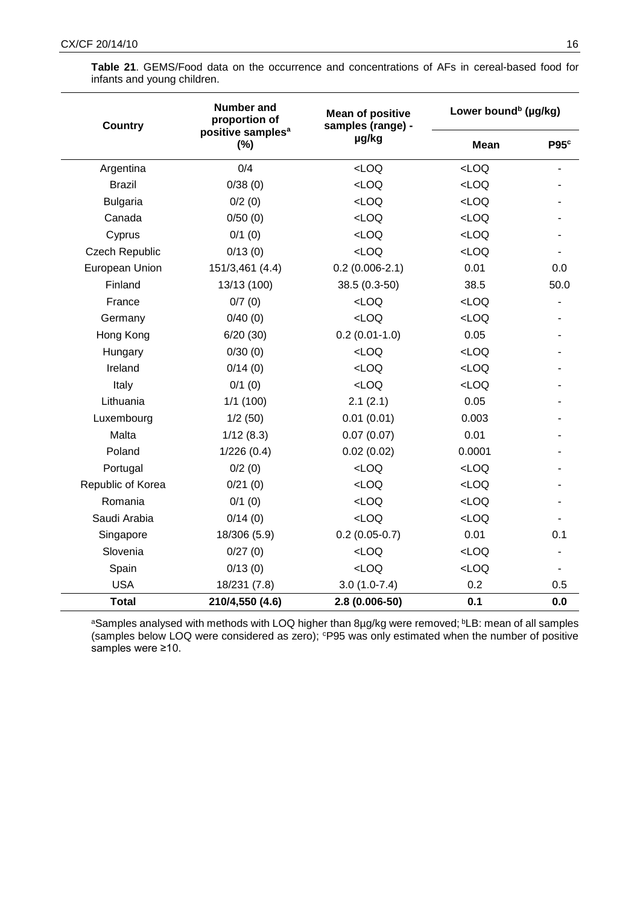| <b>Country</b>        | <b>Number and</b><br>proportion of       | <b>Mean of positive</b><br>samples (range) - | Lower bound <sup>b</sup> (µg/kg) |                  |
|-----------------------|------------------------------------------|----------------------------------------------|----------------------------------|------------------|
|                       | positive samples <sup>a</sup><br>$(\% )$ | µg/kg                                        | <b>Mean</b>                      | P95 <sup>c</sup> |
| Argentina             | 0/4                                      | LOO                                          | LOO                              |                  |
| <b>Brazil</b>         | 0/38(0)                                  | LOO                                          | LOO                              |                  |
| <b>Bulgaria</b>       | 0/2(0)                                   | $<$ LOQ                                      | LOO                              |                  |
| Canada                | 0/50(0)                                  | LOO                                          | LOO                              |                  |
| Cyprus                | 0/1(0)                                   | LOO                                          | LOO                              |                  |
| <b>Czech Republic</b> | 0/13(0)                                  | LOO                                          | LOO                              |                  |
| European Union        | 151/3,461 (4.4)                          | $0.2(0.006-2.1)$                             | 0.01                             | 0.0              |
| Finland               | 13/13 (100)                              | 38.5 (0.3-50)                                | 38.5                             | 50.0             |
| France                | 0/7(0)                                   | LOO                                          | LOO                              |                  |
| Germany               | 0/40(0)                                  | LOO                                          | LOO                              |                  |
| Hong Kong             | 6/20(30)                                 | $0.2(0.01-1.0)$                              | 0.05                             |                  |
| Hungary               | 0/30(0)                                  | LOO                                          | LOO                              |                  |
| Ireland               | 0/14(0)                                  | LOO                                          | LOO                              |                  |
| Italy                 | 0/1(0)                                   | LOO                                          | LOO                              |                  |
| Lithuania             | 1/1(100)                                 | 2.1(2.1)                                     | 0.05                             |                  |
| Luxembourg            | 1/2(50)                                  | 0.01(0.01)                                   | 0.003                            |                  |
| Malta                 | 1/12(8.3)                                | 0.07(0.07)                                   | 0.01                             |                  |
| Poland                | 1/226(0.4)                               | 0.02(0.02)                                   | 0.0001                           |                  |
| Portugal              | 0/2(0)                                   | LOO                                          | LOO                              |                  |
| Republic of Korea     | 0/21(0)                                  | LOO                                          | LOO                              |                  |
| Romania               | 0/1(0)                                   | LOO                                          | LOO                              |                  |
| Saudi Arabia          | 0/14(0)                                  | LOO                                          | LOO                              |                  |
| Singapore             | 18/306 (5.9)                             | $0.2(0.05-0.7)$                              | 0.01                             | 0.1              |
| Slovenia              | 0/27(0)                                  | LOO                                          | LOO                              |                  |
| Spain                 | 0/13(0)                                  | LOO                                          | LOO                              |                  |
| <b>USA</b>            | 18/231 (7.8)                             | $3.0(1.0-7.4)$                               | 0.2                              | 0.5              |
| <b>Total</b>          | 210/4,550 (4.6)                          | 2.8 (0.006-50)                               | 0.1                              | 0.0              |

**Table 21**. GEMS/Food data on the occurrence and concentrations of AFs in cereal-based food for infants and young children.

aSamples analysed with methods with LOQ higher than 8µg/kg were removed; **bLB: mean of all samples** (samples below LOQ were considered as zero); P95 was only estimated when the number of positive samples were ≥10.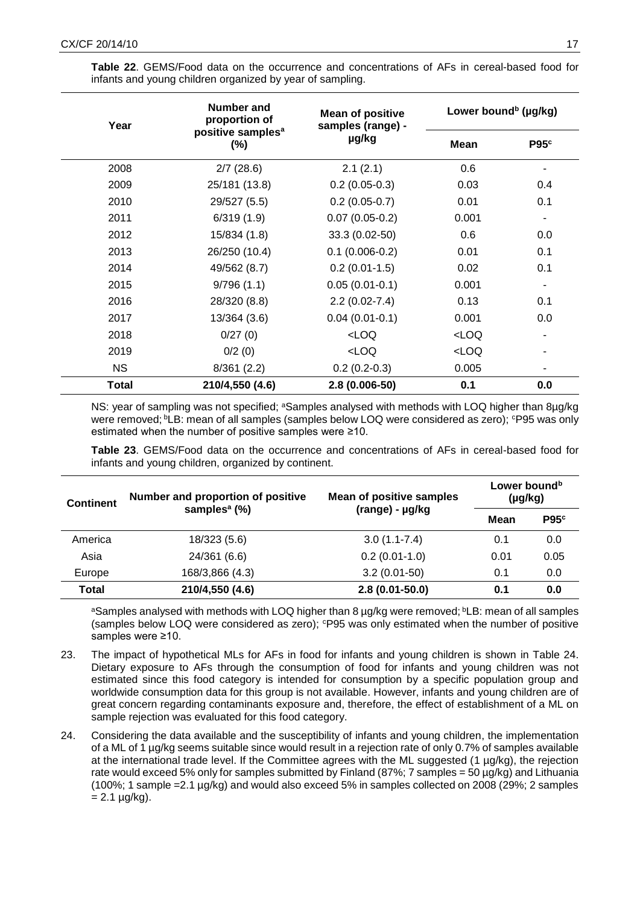**Table 22**. GEMS/Food data on the occurrence and concentrations of AFs in cereal-based food for infants and young children organized by year of sampling.

| Year      | <b>Number and</b><br>proportion of       | <b>Mean of positive</b><br>samples (range) - | Lower bound <sup>b</sup> (µg/kg) |                  |
|-----------|------------------------------------------|----------------------------------------------|----------------------------------|------------------|
|           | positive samples <sup>a</sup><br>$(\% )$ | µg/kg                                        | <b>Mean</b>                      | P95 <sup>c</sup> |
| 2008      | 2/7(28.6)                                | 2.1(2.1)                                     | 0.6                              |                  |
| 2009      | 25/181 (13.8)                            | $0.2(0.05-0.3)$                              | 0.03                             | 0.4              |
| 2010      | 29/527 (5.5)                             | $0.2(0.05-0.7)$                              | 0.01                             | 0.1              |
| 2011      | 6/319(1.9)                               | $0.07(0.05-0.2)$                             | 0.001                            |                  |
| 2012      | 15/834 (1.8)                             | 33.3 (0.02-50)                               | 0.6                              | 0.0              |
| 2013      | 26/250 (10.4)                            | $0.1(0.006-0.2)$                             | 0.01                             | 0.1              |
| 2014      | 49/562 (8.7)                             | $0.2(0.01-1.5)$                              | 0.02                             | 0.1              |
| 2015      | 9/796(1.1)                               | $0.05(0.01-0.1)$                             | 0.001                            |                  |
| 2016      | 28/320 (8.8)                             | $2.2(0.02-7.4)$                              | 0.13                             | 0.1              |
| 2017      | 13/364 (3.6)                             | $0.04(0.01-0.1)$                             | 0.001                            | 0.0              |
| 2018      | 0/27(0)                                  | LOO                                          | $<$ LOQ                          |                  |
| 2019      | 0/2(0)                                   | LOO                                          | <loq< td=""><td></td></loq<>     |                  |
| <b>NS</b> | 8/361(2.2)                               | $0.2(0.2-0.3)$                               | 0.005                            |                  |
| Total     | 210/4,550 (4.6)                          | 2.8 (0.006-50)                               | 0.1                              | 0.0              |

NS: year of sampling was not specified; <sup>a</sup>Samples analysed with methods with LOQ higher than 8ug/kg were removed; <sup>b</sup>LB: mean of all samples (samples below LOQ were considered as zero); <sup>c</sup>P95 was only estimated when the number of positive samples were ≥10.

**Table 23**. GEMS/Food data on the occurrence and concentrations of AFs in cereal-based food for infants and young children, organized by continent.

| <b>Continent</b> | Number and proportion of positive<br>samples <sup>a</sup> $(\%)$ | <b>Mean of positive samples</b> | Lower bound <sup>b</sup><br>$(\mu g/kg)$ |                  |  |
|------------------|------------------------------------------------------------------|---------------------------------|------------------------------------------|------------------|--|
|                  |                                                                  | (range) - µg/kg                 | Mean                                     | P95 <sup>c</sup> |  |
| America          | 18/323 (5.6)                                                     | $3.0(1.1 - 7.4)$                | 0.1                                      | 0.0              |  |
| Asia             | 24/361 (6.6)                                                     | $0.2(0.01-1.0)$                 | 0.01                                     | 0.05             |  |
| Europe           | 168/3,866 (4.3)                                                  | $3.2(0.01-50)$                  | 0.1                                      | 0.0              |  |
| Total            | 210/4,550 (4.6)                                                  | $2.8(0.01 - 50.0)$              | 0.1                                      | 0.0              |  |

aSamples analysed with methods with LOQ higher than 8 µg/kg were removed; **bLB: mean of all samples** (samples below LOQ were considered as zero);  $P95$  was only estimated when the number of positive samples were ≥10.

- 23. The impact of hypothetical MLs for AFs in food for infants and young children is shown in Table 24. Dietary exposure to AFs through the consumption of food for infants and young children was not estimated since this food category is intended for consumption by a specific population group and worldwide consumption data for this group is not available. However, infants and young children are of great concern regarding contaminants exposure and, therefore, the effect of establishment of a ML on sample rejection was evaluated for this food category.
- 24. Considering the data available and the susceptibility of infants and young children, the implementation of a ML of 1 µg/kg seems suitable since would result in a rejection rate of only 0.7% of samples available at the international trade level. If the Committee agrees with the ML suggested (1 µg/kg), the rejection rate would exceed 5% only for samples submitted by Finland (87%; 7 samples = 50  $\mu q/kg$ ) and Lithuania (100%; 1 sample =2.1 µg/kg) and would also exceed 5% in samples collected on 2008 (29%; 2 samples  $= 2.1 \mu q/kg$ .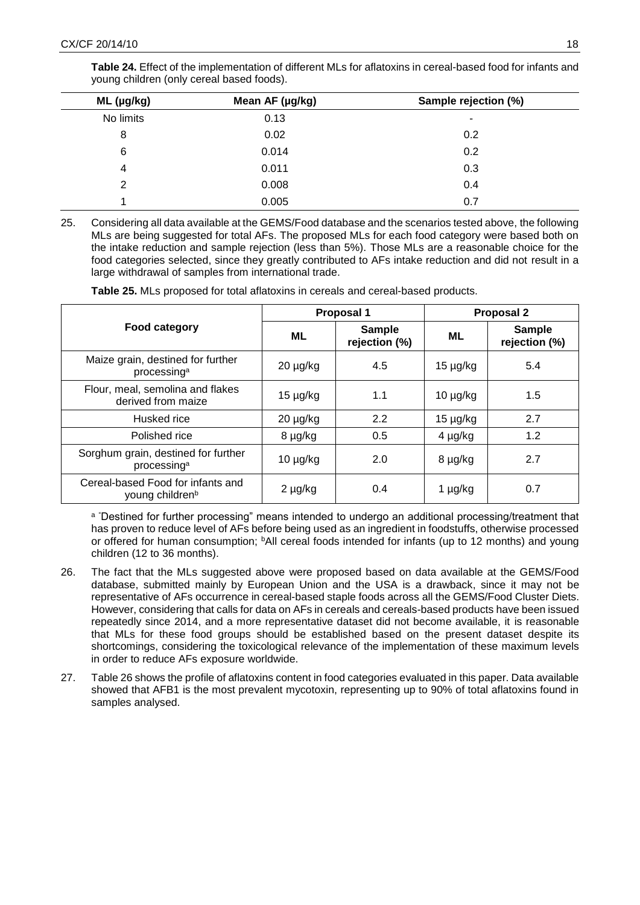|              | Mean AF (µg/kg) | Sample rejection (%) |
|--------------|-----------------|----------------------|
| $ML$ (µg/kg) |                 |                      |
| No limits    | 0.13            | ۰                    |
| 8            | 0.02            | 0.2                  |
| 6            | 0.014           | 0.2                  |
| 4            | 0.011           | 0.3                  |
| 2            | 0.008           | 0.4                  |
|              | 0.005           | 0.7                  |

**Table 24.** Effect of the implementation of different MLs for aflatoxins in cereal-based food for infants and young children (only cereal based foods).

25. Considering all data available at the GEMS/Food database and the scenarios tested above, the following MLs are being suggested for total AFs. The proposed MLs for each food category were based both on the intake reduction and sample rejection (less than 5%). Those MLs are a reasonable choice for the food categories selected, since they greatly contributed to AFs intake reduction and did not result in a large withdrawal of samples from international trade.

**Table 25.** MLs proposed for total aflatoxins in cereals and cereal-based products.

|                                                                  |               | Proposal 1                     | <b>Proposal 2</b> |                                |  |
|------------------------------------------------------------------|---------------|--------------------------------|-------------------|--------------------------------|--|
| Food category                                                    | ML            | <b>Sample</b><br>rejection (%) |                   | <b>Sample</b><br>rejection (%) |  |
| Maize grain, destined for further<br>processing <sup>a</sup>     | $20 \mu g/kg$ | 4.5                            | $15 \mu g/kg$     | 5.4                            |  |
| Flour, meal, semolina and flakes<br>derived from maize           | $15 \mu g/kg$ | 1.1                            | $10 \mu g/kg$     | 1.5                            |  |
| Husked rice                                                      | $20 \mu g/kg$ | 2.2                            | $15 \mu g/kg$     | 2.7                            |  |
| Polished rice                                                    | 8 µg/kg       | 0.5                            | $4 \mu g/kg$      | 1.2                            |  |
| Sorghum grain, destined for further<br>processing <sup>a</sup>   | $10 \mu g/kg$ | 2.0                            | 8 µg/kg           | 2.7                            |  |
| Cereal-based Food for infants and<br>young children <sup>b</sup> | $2 \mu g/kg$  | 0.4                            | 1 µg/kg           | 0.7                            |  |

a "Destined for further processing" means intended to undergo an additional processing/treatment that has proven to reduce level of AFs before being used as an ingredient in foodstuffs, otherwise processed or offered for human consumption; <sup>b</sup>All cereal foods intended for infants (up to 12 months) and young children (12 to 36 months).

- 26. The fact that the MLs suggested above were proposed based on data available at the GEMS/Food database, submitted mainly by European Union and the USA is a drawback, since it may not be representative of AFs occurrence in cereal-based staple foods across all the GEMS/Food Cluster Diets. However, considering that calls for data on AFs in cereals and cereals-based products have been issued repeatedly since 2014, and a more representative dataset did not become available, it is reasonable that MLs for these food groups should be established based on the present dataset despite its shortcomings, considering the toxicological relevance of the implementation of these maximum levels in order to reduce AFs exposure worldwide.
- 27. Table 26 shows the profile of aflatoxins content in food categories evaluated in this paper. Data available showed that AFB1 is the most prevalent mycotoxin, representing up to 90% of total aflatoxins found in samples analysed.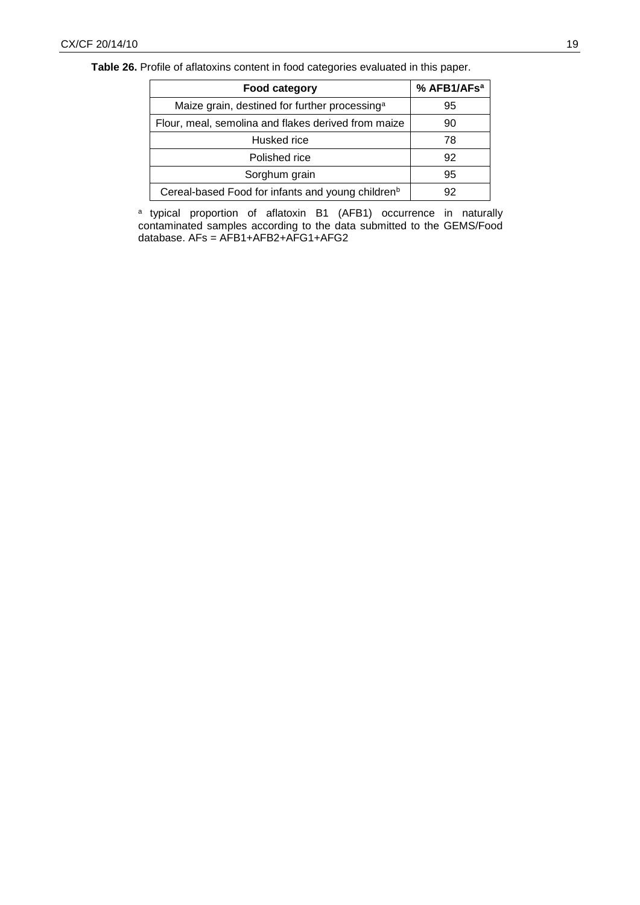**Table 26.** Profile of aflatoxins content in food categories evaluated in this paper.

| Food category                                                 | % AFB1/AFs <sup>a</sup> |
|---------------------------------------------------------------|-------------------------|
| Maize grain, destined for further processing <sup>a</sup>     | 95                      |
| Flour, meal, semolina and flakes derived from maize           | 90                      |
| Husked rice                                                   | 78                      |
| Polished rice                                                 | 92                      |
| Sorghum grain                                                 | 95                      |
| Cereal-based Food for infants and young children <sup>b</sup> | 92                      |

a typical proportion of aflatoxin B1 (AFB1) occurrence in naturally contaminated samples according to the data submitted to the GEMS/Food database. AFs = AFB1+AFB2+AFG1+AFG2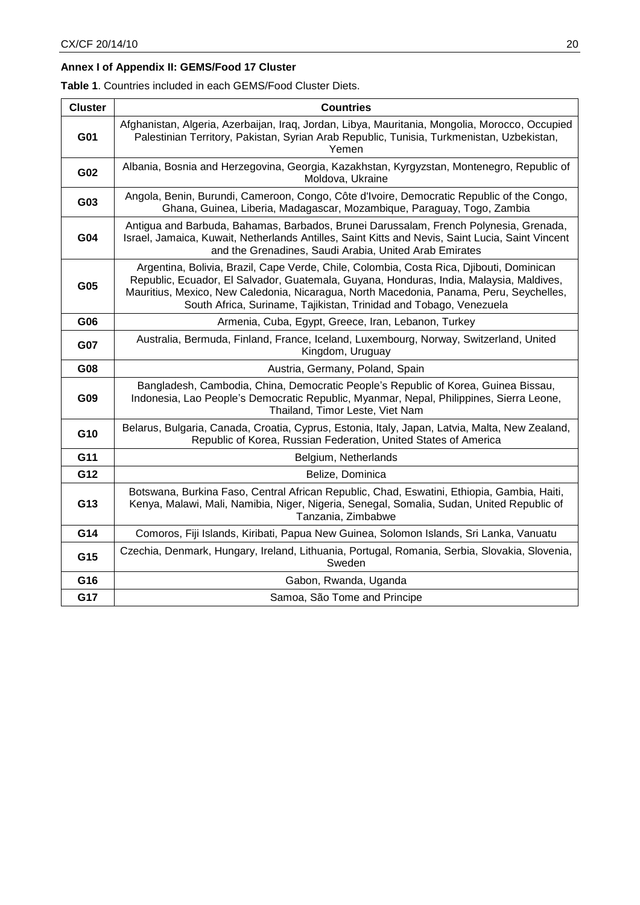# **Annex I of Appendix II: GEMS/Food 17 Cluster**

**Table 1**. Countries included in each GEMS/Food Cluster Diets.

| <b>Cluster</b> | <b>Countries</b>                                                                                                                                                                                                                                                                                                                                     |
|----------------|------------------------------------------------------------------------------------------------------------------------------------------------------------------------------------------------------------------------------------------------------------------------------------------------------------------------------------------------------|
| G01            | Afghanistan, Algeria, Azerbaijan, Iraq, Jordan, Libya, Mauritania, Mongolia, Morocco, Occupied<br>Palestinian Territory, Pakistan, Syrian Arab Republic, Tunisia, Turkmenistan, Uzbekistan,<br>Yemen                                                                                                                                                 |
| G02            | Albania, Bosnia and Herzegovina, Georgia, Kazakhstan, Kyrgyzstan, Montenegro, Republic of<br>Moldova, Ukraine                                                                                                                                                                                                                                        |
| G03            | Angola, Benin, Burundi, Cameroon, Congo, Côte d'Ivoire, Democratic Republic of the Congo,<br>Ghana, Guinea, Liberia, Madagascar, Mozambique, Paraguay, Togo, Zambia                                                                                                                                                                                  |
| G04            | Antigua and Barbuda, Bahamas, Barbados, Brunei Darussalam, French Polynesia, Grenada,<br>Israel, Jamaica, Kuwait, Netherlands Antilles, Saint Kitts and Nevis, Saint Lucia, Saint Vincent<br>and the Grenadines, Saudi Arabia, United Arab Emirates                                                                                                  |
| G05            | Argentina, Bolivia, Brazil, Cape Verde, Chile, Colombia, Costa Rica, Djibouti, Dominican<br>Republic, Ecuador, El Salvador, Guatemala, Guyana, Honduras, India, Malaysia, Maldives,<br>Mauritius, Mexico, New Caledonia, Nicaragua, North Macedonia, Panama, Peru, Seychelles,<br>South Africa, Suriname, Tajikistan, Trinidad and Tobago, Venezuela |
| G06            | Armenia, Cuba, Egypt, Greece, Iran, Lebanon, Turkey                                                                                                                                                                                                                                                                                                  |
| G07            | Australia, Bermuda, Finland, France, Iceland, Luxembourg, Norway, Switzerland, United<br>Kingdom, Uruguay                                                                                                                                                                                                                                            |
| G08            | Austria, Germany, Poland, Spain                                                                                                                                                                                                                                                                                                                      |
| G09            | Bangladesh, Cambodia, China, Democratic People's Republic of Korea, Guinea Bissau,<br>Indonesia, Lao People's Democratic Republic, Myanmar, Nepal, Philippines, Sierra Leone,<br>Thailand, Timor Leste, Viet Nam                                                                                                                                     |
| G10            | Belarus, Bulgaria, Canada, Croatia, Cyprus, Estonia, Italy, Japan, Latvia, Malta, New Zealand,<br>Republic of Korea, Russian Federation, United States of America                                                                                                                                                                                    |
| G11            | Belgium, Netherlands                                                                                                                                                                                                                                                                                                                                 |
| G12            | Belize, Dominica                                                                                                                                                                                                                                                                                                                                     |
| G13            | Botswana, Burkina Faso, Central African Republic, Chad, Eswatini, Ethiopia, Gambia, Haiti,<br>Kenya, Malawi, Mali, Namibia, Niger, Nigeria, Senegal, Somalia, Sudan, United Republic of<br>Tanzania, Zimbabwe                                                                                                                                        |
| G14            | Comoros, Fiji Islands, Kiribati, Papua New Guinea, Solomon Islands, Sri Lanka, Vanuatu                                                                                                                                                                                                                                                               |
| G15            | Czechia, Denmark, Hungary, Ireland, Lithuania, Portugal, Romania, Serbia, Slovakia, Slovenia,<br>Sweden                                                                                                                                                                                                                                              |
| G16            | Gabon, Rwanda, Uganda                                                                                                                                                                                                                                                                                                                                |
| G17            | Samoa, São Tome and Principe                                                                                                                                                                                                                                                                                                                         |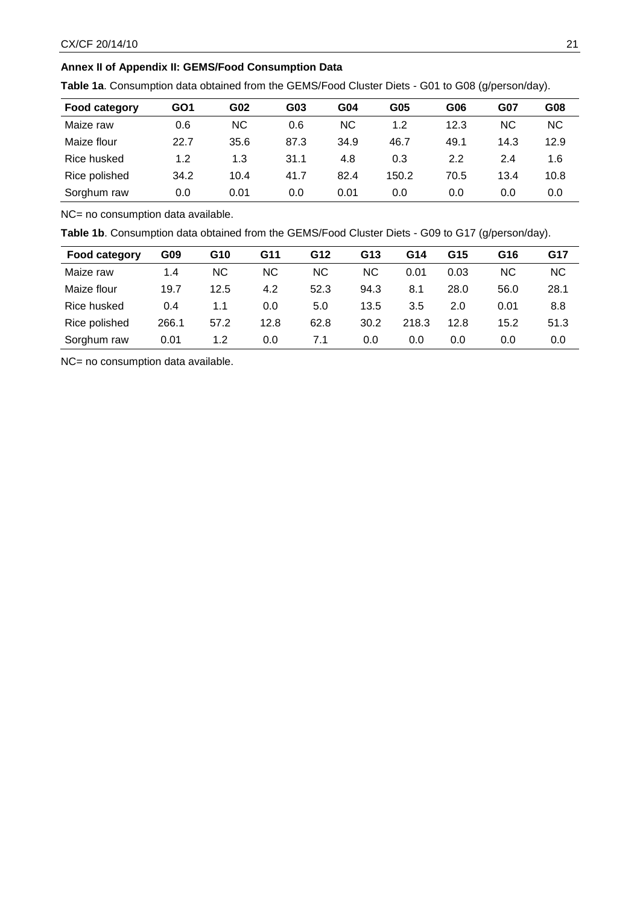# **Annex II of Appendix II: GEMS/Food Consumption Data**

**Table 1a**. Consumption data obtained from the GEMS/Food Cluster Diets - G01 to G08 (g/person/day).

| <b>Food category</b> | GO <sub>1</sub> | G02       | G03  | G04       | G05   | G06  | <b>G07</b> | G08  |
|----------------------|-----------------|-----------|------|-----------|-------|------|------------|------|
| Maize raw            | 0.6             | <b>NC</b> | 0.6  | <b>NC</b> | 1.2   | 12.3 | ΝC         | NC.  |
| Maize flour          | 22.7            | 35.6      | 87.3 | 34.9      | 46.7  | 49.1 | 14.3       | 12.9 |
| Rice husked          | 1.2             | 1.3       | 31.1 | 4.8       | 0.3   | 2.2  | 2.4        | 1.6  |
| Rice polished        | 34.2            | 10.4      | 41.7 | 82.4      | 150.2 | 70.5 | 13.4       | 10.8 |
| Sorghum raw          | 0.0             | 0.01      | 0.0  | 0.01      | 0.0   | 0.0  | 0.0        | 0.0  |

NC= no consumption data available.

**Table 1b**. Consumption data obtained from the GEMS/Food Cluster Diets - G09 to G17 (g/person/day).

| <b>Food category</b> | G09   | G10       | G11  | G12  | G13  | G14   | G15  | G16  | G17  |
|----------------------|-------|-----------|------|------|------|-------|------|------|------|
| Maize raw            | 1.4   | <b>NC</b> | NС   | NC.  | NС   | 0.01  | 0.03 | ΝC   | ΝC   |
| Maize flour          | 19.7  | 12.5      | 4.2  | 52.3 | 94.3 | 8.1   | 28.0 | 56.0 | 28.1 |
| Rice husked          | 0.4   | 1.1       | 0.0  | 5.0  | 13.5 | 3.5   | 2.0  | 0.01 | 8.8  |
| Rice polished        | 266.1 | 57.2      | 12.8 | 62.8 | 30.2 | 218.3 | 12.8 | 15.2 | 51.3 |
| Sorghum raw          | 0.01  | 1.2       | 0.0  | 7.1  | 0.0  | 0.0   | 0.0  | 0.0  | 0.0  |

NC= no consumption data available.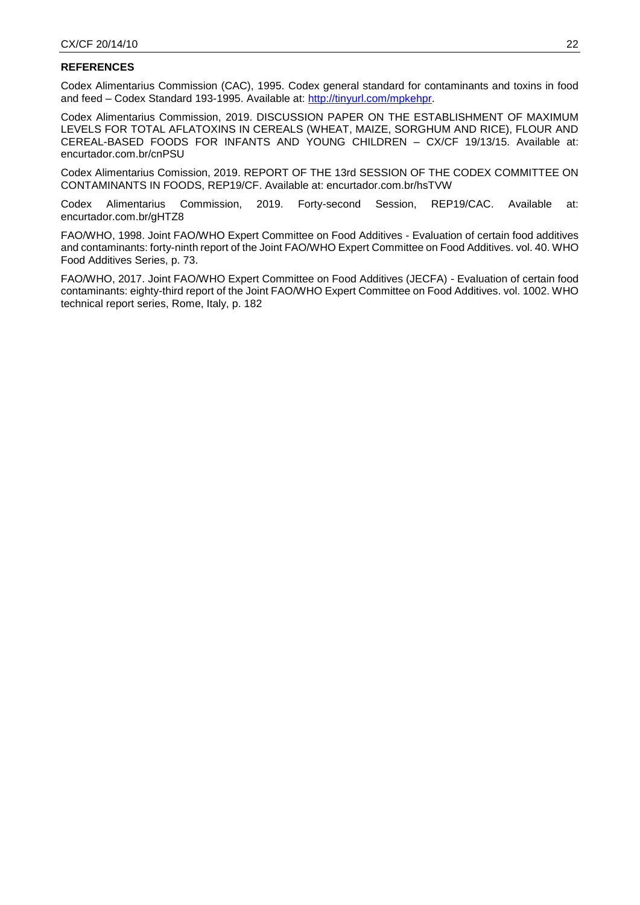## **REFERENCES**

Codex Alimentarius Commission (CAC), 1995. Codex general standard for contaminants and toxins in food and feed – Codex Standard 193-1995. Available at: [http://tinyurl.com/mpkehpr.](http://tinyurl.com/mpkehpr)

Codex Alimentarius Commission, 2019. DISCUSSION PAPER ON THE ESTABLISHMENT OF MAXIMUM LEVELS FOR TOTAL AFLATOXINS IN CEREALS (WHEAT, MAIZE, SORGHUM AND RICE), FLOUR AND CEREAL-BASED FOODS FOR INFANTS AND YOUNG CHILDREN – CX/CF 19/13/15. Available at: encurtador.com.br/cnPSU

Codex Alimentarius Comission, 2019. REPORT OF THE 13rd SESSION OF THE CODEX COMMITTEE ON CONTAMINANTS IN FOODS, REP19/CF. Available at: encurtador.com.br/hsTVW

Codex Alimentarius Commission, 2019. Forty-second Session, REP19/CAC. Available at: encurtador.com.br/gHTZ8

FAO/WHO, 1998. Joint FAO/WHO Expert Committee on Food Additives - Evaluation of certain food additives and contaminants: forty-ninth report of the Joint FAO/WHO Expert Committee on Food Additives. vol. 40. WHO Food Additives Series, p. 73.

FAO/WHO, 2017. Joint FAO/WHO Expert Committee on Food Additives (JECFA) - Evaluation of certain food contaminants: eighty-third report of the Joint FAO/WHO Expert Committee on Food Additives. vol. 1002. WHO technical report series, Rome, Italy, p. 182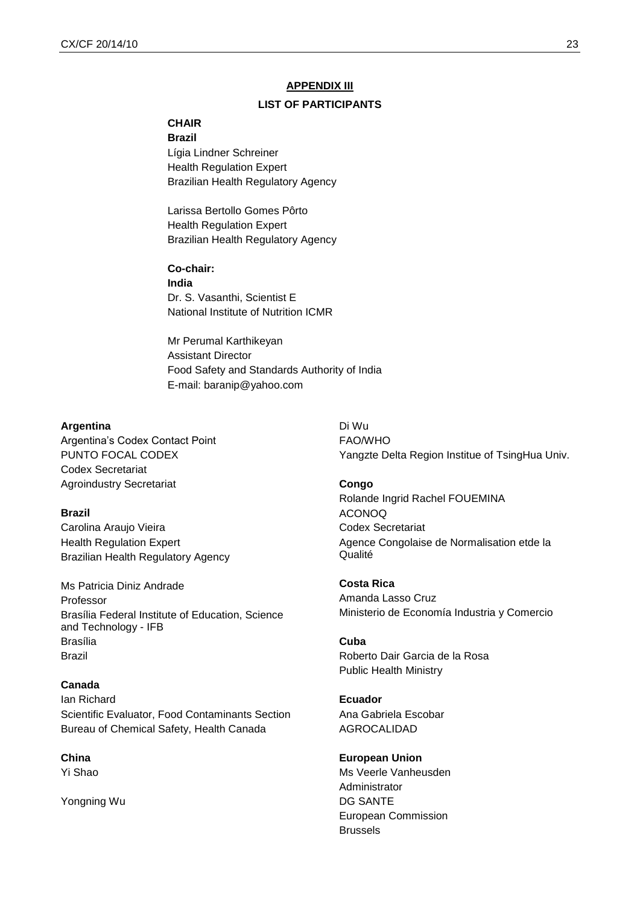# **APPENDIX III**

## **LIST OF PARTICIPANTS**

# **CHAIR**

**Brazil** Lígia Lindner Schreiner Health Regulation Expert Brazilian Health Regulatory Agency

Larissa Bertollo Gomes Pôrto Health Regulation Expert Brazilian Health Regulatory Agency

**Co-chair: India** Dr. S. Vasanthi, Scientist E National Institute of Nutrition ICMR

Mr Perumal Karthikeyan Assistant Director Food Safety and Standards Authority of India E-mail: baranip@yahoo.com

#### **Argentina**

Argentina's Codex Contact Point PUNTO FOCAL CODEX Codex Secretariat Agroindustry Secretariat

#### **Brazil**

Carolina Araujo Vieira Health Regulation Expert Brazilian Health Regulatory Agency

Ms Patricia Diniz Andrade Professor Brasília Federal Institute of Education, Science and Technology - IFB Brasília Brazil

### **Canada**

Ian Richard Scientific Evaluator, Food Contaminants Section Bureau of Chemical Safety, Health Canada

**China**  Yi Shao

Yongning Wu

Di Wu FAO/WHO Yangzte Delta Region Institue of TsingHua Univ.

#### **Congo**

Rolande Ingrid Rachel FOUEMINA ACONOQ Codex Secretariat Agence Congolaise de Normalisation etde la Qualité

**Costa Rica** Amanda Lasso Cruz Ministerio de Economía Industria y Comercio

#### **Cuba**

Roberto Dair Garcia de la Rosa Public Health Ministry

**Ecuador** Ana Gabriela Escobar AGROCALIDAD

**European Union** Ms Veerle Vanheusden Administrator DG SANTE European Commission **Brussels**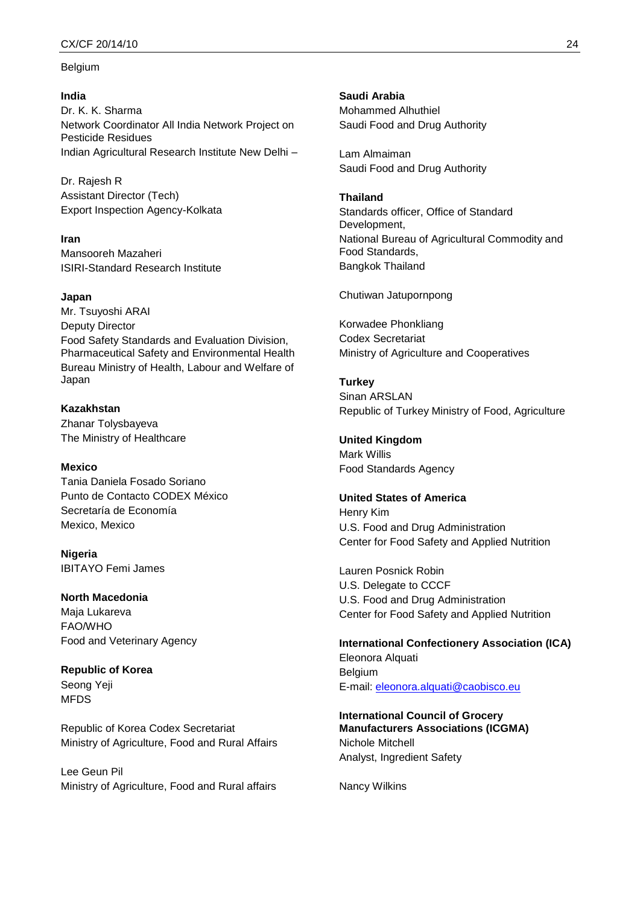#### CX/CF 20/14/10 24

#### Belgium

#### **India**

Dr. K. K. Sharma Network Coordinator All India Network Project on Pesticide Residues Indian Agricultural Research Institute New Delhi –

Dr. Rajesh R Assistant Director (Tech) Export Inspection Agency-Kolkata

**Iran** Mansooreh Mazaheri ISIRI-Standard Research Institute

#### **Japan**

Mr. Tsuyoshi ARAI Deputy Director Food Safety Standards and Evaluation Division, Pharmaceutical Safety and Environmental Health Bureau Ministry of Health, Labour and Welfare of Japan

**Kazakhstan** Zhanar Tolysbayeva The Ministry of Healthcare

**Mexico** Tania Daniela Fosado Soriano Punto de Contacto CODEX México Secretaría de Economía Mexico, Mexico

**Nigeria** IBITAYO Femi James

**North Macedonia** Maja Lukareva

FAO/WHO Food and Veterinary Agency

**Republic of Korea** Seong Yeji MFDS

Republic of Korea Codex Secretariat Ministry of Agriculture, Food and Rural Affairs

Lee Geun Pil Ministry of Agriculture, Food and Rural affairs **Saudi Arabia** Mohammed Alhuthiel Saudi Food and Drug Authority

Lam Almaiman Saudi Food and Drug Authority

#### **Thailand**

Standards officer, Office of Standard Development, National Bureau of Agricultural Commodity and Food Standards, Bangkok Thailand

Chutiwan Jatupornpong

Korwadee Phonkliang Codex Secretariat Ministry of Agriculture and Cooperatives

**Turkey** Sinan ARSLAN Republic of Turkey Ministry of Food, Agriculture

**United Kingdom** Mark Willis Food Standards Agency

### **United States of America**

Henry Kim U.S. Food and Drug Administration Center for Food Safety and Applied Nutrition

Lauren Posnick Robin U.S. Delegate to CCCF U.S. Food and Drug Administration Center for Food Safety and Applied Nutrition

**International Confectionery Association (ICA)** Eleonora Alquati Belgium E-mail: [eleonora.alquati@caobisco.eu](mailto:eleonora.alquati@caobisco.eu)

**International Council of Grocery Manufacturers Associations (ICGMA)** Nichole Mitchell Analyst, Ingredient Safety

Nancy Wilkins